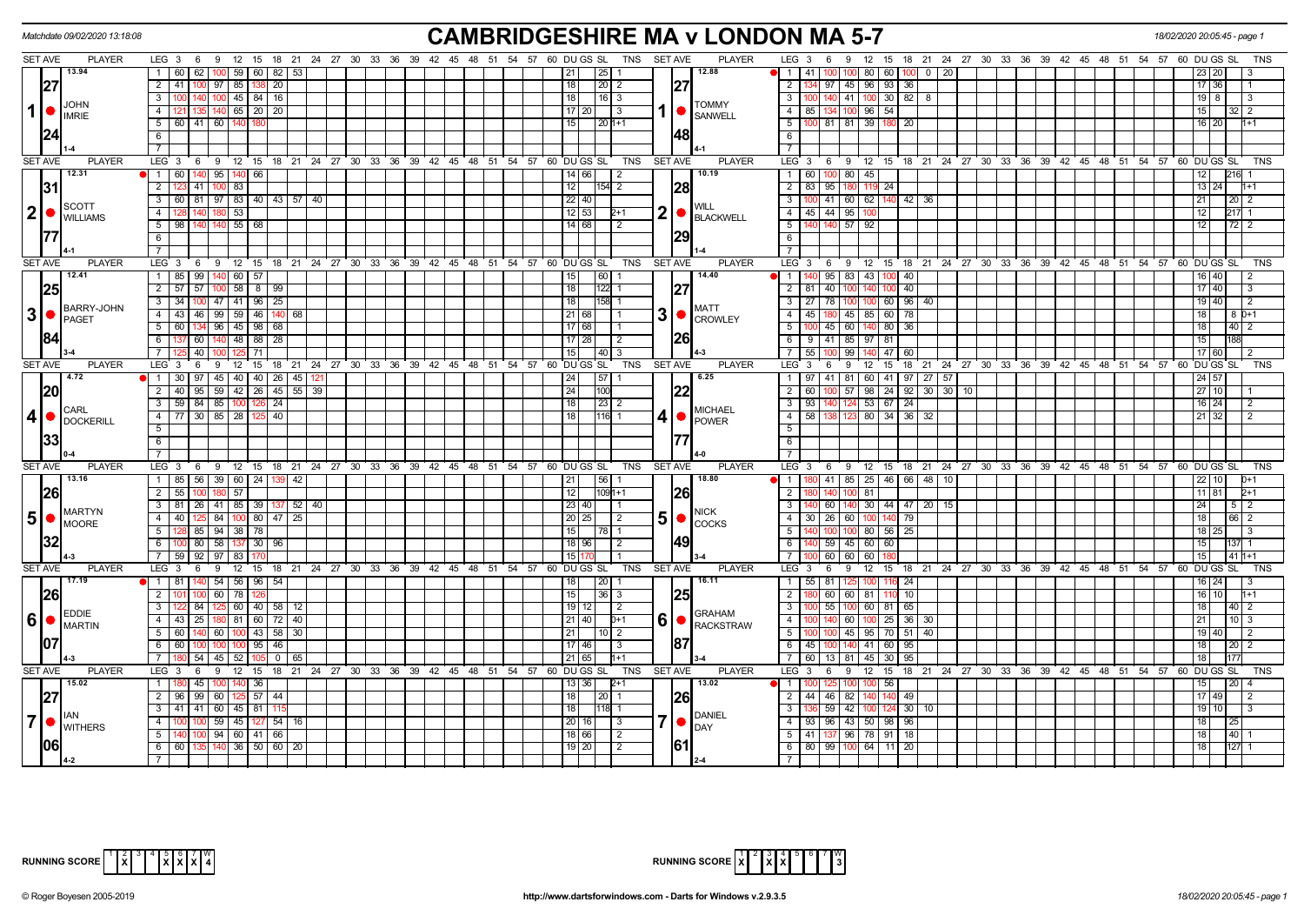|                 | Matchdate 09/02/2020 13:18:08            |                                                                                                  | <b>CAMBRIDGESHIRE MA v LONDON MA 5-7</b>                                                       |                                                                                                          | 18/02/2020 20:05:45 - page      |
|-----------------|------------------------------------------|--------------------------------------------------------------------------------------------------|------------------------------------------------------------------------------------------------|----------------------------------------------------------------------------------------------------------|---------------------------------|
|                 | <b>SET AVE</b><br><b>PLAYER</b>          | LEG 3 6 9 12 15 18 21 24 27 30 33 36 39 42 45 48 51 54 57 60 DUGS SL                             | TNS SET AVE<br><b>PLAYER</b>                                                                   | LEG 3 6 9<br>12 15 18 21 24 27 30 33 36 39 42 45 48 51 54 57 60 DUGS SL                                  | <b>TNS</b>                      |
|                 | 13.94                                    | 60 62<br>59   60  <br>82                                                                         | 12.88<br> 25 <br>21                                                                            | $\blacksquare$<br>41 I<br>100 100<br>80 60<br>$0 \mid 20$<br>100                                         | 23   20                         |
|                 | 27                                       | 2 41 100 97 85 138<br>20                                                                         | 27 <br>18<br>20   2                                                                            | $\overline{2}$<br>134 97 45 96 93 36                                                                     | 17 36                           |
|                 |                                          | $\overline{3}$<br>45 84 16<br>140<br>l 100                                                       | 18<br> 16 3                                                                                    | 100 140 41 100 30 82<br>$\overline{\mathbf{3}}$<br>8                                                     | $19$ $8$                        |
| $1$   $\bullet$ | <b>JOHN</b><br><b>IMRIE</b>              | $\overline{4}$<br>121 135 140 65 20 20                                                           | <b>TOMMY</b><br>17   20  <br>l 3<br><b>SANWELL</b>                                             | $-4$<br>85   134   100   96   54                                                                         | 15 <sub>1</sub>                 |
|                 |                                          | 5   60   41   60   140                                                                           | 15<br>$1201+1$                                                                                 | 100 81 81 39 180 20<br>$-5$                                                                              | 16 20                           |
|                 | 24                                       | 6                                                                                                | 48                                                                                             | 6                                                                                                        |                                 |
|                 |                                          |                                                                                                  |                                                                                                |                                                                                                          |                                 |
|                 | SET AVE<br><b>PLAYER</b>                 | 12 15 18 21 24 27 30 33 36 39 42 45 48 51 54 57 60 DUGSSL<br>LEG <sub>3</sub><br>6 <sup>9</sup>  | <b>PLAYER</b><br>TNS<br><b>SET AVE</b>                                                         | LEG <sub>3</sub><br>6 9 12 15 18 21 24 27 30 33 36 39 42 45 48 51 54 57 60 DUGS SL                       | <b>TNS</b>                      |
|                 | 12.31                                    | 1 60 140 95 140 66                                                                               | 10.19<br>14 66 <br>$\vert 2 \vert$                                                             | 60 100 80 45<br>$\overline{1}$                                                                           | 12<br>216                       |
|                 | 31                                       | $\overline{2}$<br>83<br>123 41<br>100                                                            | I28I<br>12<br>$ 154 $ 2                                                                        | 83   95   180<br>$\overline{2}$<br>119 24                                                                | $13 \overline{)24}$             |
|                 |                                          | 3 60 81 97 83 40 43 57 40                                                                        | $22$ 40                                                                                        | $\overline{\mathbf{3}}$<br>100 41 60 62 140 42 36                                                        | 21 I<br>2012                    |
|                 | <b>SCOTT</b><br>2 •<br><b>WILLIAMS</b>   | $\overline{4}$<br>53                                                                             | 2<br>12 53 <br>BLACKWELL                                                                       | 45 44 95 100<br>$4 \vert$                                                                                | 12                              |
|                 |                                          | 5<br>98<br>55   68                                                                               | 14   68  <br>$\mathcal{P}$                                                                     | 5<br>140 140 57                                                                                          | 12<br>$72$ 2                    |
|                 |                                          | 6                                                                                                |                                                                                                | 6                                                                                                        |                                 |
|                 |                                          | $\overline{7}$                                                                                   |                                                                                                | $\overline{7}$                                                                                           |                                 |
|                 | SET AVE<br><b>PLAYER</b>                 | $12 \quad 15$<br>18 21 24 27 30 33 36 39 42 45 48 51<br>LEG 3<br>9<br>6                          | 54 57 60 DU GS SL<br>TNS<br><b>SET AVE</b><br><b>PLAYER</b>                                    | LEG 3<br>$12 \quad 15$<br>18 21 24 27 30 33<br>36 39 42 45 48 51<br>9<br>- 6                             | 54 57 60 DU GS SL<br><b>TNS</b> |
|                 | 12.41                                    | 1 85 99 140<br>60 57                                                                             | 14.40<br> 60 <br>15                                                                            | 95 83 43 100 40<br>$\overline{1}$                                                                        | $16 \overline{\smash{)}\,40}$   |
|                 | 25                                       | $2$ 57 57 100<br>$58$   8   99                                                                   | 27<br>18<br>122                                                                                | $81$   40<br>$ 00 $ 40<br>2 <sup>1</sup><br>100<br>140                                                   | 17140                           |
|                 |                                          | 34 100 47 41 96 25<br>3                                                                          | 18<br>158                                                                                      | 3<br>27 78 100<br>60 96 40                                                                               | $19$ 40                         |
|                 | <b>BARRY-JOHN</b><br>3 •<br><b>PAGET</b> | 43 46 99 59 46<br>$\overline{4}$<br>140<br>68                                                    | <b>MATT</b><br>3 <sup>1</sup><br>21   68<br>$\bigcirc$ $\bigcirc$ CROWLEY                      | 180 45 85 60 78<br>$-4$<br>45                                                                            | 18<br>8 0+1                     |
|                 |                                          | $\overline{5}$<br>96<br>45   98<br>60 134<br>68                                                  | 17 68                                                                                          | 5<br>$45 \mid 60$<br>80<br>36<br>140                                                                     | 18<br>$40$ 2                    |
|                 | 84                                       | $6\overline{6}$<br>48 88<br>137 60 140<br>-28                                                    | 26<br>17 28<br><u>2</u>                                                                        | <b>6</b><br>9   41   85   97   81                                                                        | 15 <sup>1</sup><br>188          |
|                 |                                          | 40<br>$\overline{7}$<br>5 71                                                                     | 15 <sup>1</sup><br> 40 3                                                                       | $\overline{7}$<br>99<br>55 I<br>47<br>60                                                                 | 17 60                           |
|                 | <b>SET AVE</b><br><b>PLAYER</b>          | LEG <sub>3</sub><br>$12 \quad 15$<br>6<br>-9                                                     | TNS<br><b>PLAYER</b><br>18 21 24 27 30 33 36 39 42 45 48 51 54 57 60 DUGSSL<br><b>SET AVE</b>  | $LEG \ 3$<br>12 15<br>18 21 24 27 30 33 36 39 42 45 48 51 54 57 60 DUGS SL<br>6<br>9                     | <b>TNS</b>                      |
|                 | 4.72                                     | 45<br>40   40  <br>26<br>$\mathbf{1}$<br>30 97<br>45                                             | 6.25<br>24<br>57                                                                               | 41<br>81<br>60 41<br>$\overline{1}$<br>97<br>27   57<br>.97                                              | 24 57                           |
|                 | 20                                       | $\overline{2}$<br>40   95   59   42   26   45   55   39                                          | 24<br> 22<br>100                                                                               | $\overline{2}$<br>60 100 57<br>98 24 92 30 30 10                                                         | 2710                            |
|                 | <b>CARL</b>                              | 3 59 84 85 100 126<br>$\overline{24}$                                                            | 18<br>$\sqrt{23}$ 2<br><b>MICHAEL</b>                                                          | $\sqrt{3}$<br>93<br>53 67 24<br>140 I                                                                    | $16$ 24                         |
|                 | 4 •<br><b>DOCKERILL</b>                  | 77 30 85 28 125 40<br>$\overline{4}$                                                             | 18<br>$116$ 1<br>$4$ $\bullet$ POWER                                                           | 58<br>80 34 36 32<br>$\overline{4}$                                                                      | $21 \overline{)32}$             |
|                 |                                          | $\overline{5}$                                                                                   |                                                                                                | $\overline{5}$                                                                                           |                                 |
|                 | 33                                       | 6                                                                                                |                                                                                                | 6                                                                                                        |                                 |
|                 |                                          | $\overline{7}$                                                                                   |                                                                                                |                                                                                                          |                                 |
|                 | <b>SET AVE</b><br><b>PLAYER</b>          | 12 15 18 21 24 27 30 33 36 39 42 45 48 51 54 57 60 DUGS SL<br>LEG <sub>3</sub><br>6 <sup>9</sup> | TNS<br><b>SET AVE</b><br><b>PLAYER</b>                                                         | LEG <sup>3</sup><br>6 9 12 15 18 21 24 27 30 33 36 39 42 45 48 51 54 57 60 DUGSSL                        | <b>TNS</b>                      |
|                 | 13.16                                    | 1 85 56 39 60 24 139<br> 42                                                                      | 18.80<br> 56 <br> 21                                                                           | 1 1 180 41 85 25 46 66 48 10                                                                             | 22 10<br>$0+1$                  |
|                 | 26                                       | $\overline{2}$<br>55<br>57                                                                       | 12<br>26<br>1091+1                                                                             | $\overline{2}$<br>81                                                                                     | 11 81<br>$D+1$                  |
|                 | <b>MARTYN</b>                            | 3   81   26   41   85   39   137<br>$52 \mid 40$                                                 | 23 40 <br><b>NICK</b>                                                                          | 60   140   30   44   47   20   15  <br>$3^{\circ}$<br>30   26   60   100   140   79                      | 24<br>5   2                     |
| 5 <sup>5</sup>  | $\bullet$<br><b>IMOORE</b>               | 4 40 125 84 100 80 47 25<br>5                                                                    | 5 <sup>1</sup><br>20 25 <br>$\sqrt{2}$<br>$\bullet$ $\bullet$ $\bullet$<br>15<br>78 I          | $\sqrt{4}$<br>$-5$<br>80 56 25<br>100 L<br>100                                                           | 18 <sup>1</sup><br>66 2<br>18   |
|                 |                                          | 85   94   38   78<br>6<br>58<br>137 30<br>80<br>96                                               | 49 <br>18 96                                                                                   | $59 \mid 45$<br>6<br>60 I<br>60                                                                          | 15 <sup>1</sup>                 |
|                 |                                          | 7<br>92<br>97<br>59 1<br>83                                                                      | 15                                                                                             | 60 60<br>60                                                                                              | 15<br>$41 h+1$                  |
|                 | <b>SET AVE</b><br><b>PLAYER</b>          | 12<br>LEG 3<br>6<br>9<br>15                                                                      | 18 21 24 27 30 33 36 39 42 45 48 51 54 57 60 DUGS SL<br>TNS<br><b>SET AVE</b><br><b>PLAYER</b> | LEG <sup>'</sup><br>12 15<br>18 21 24 27 30 33 36 39 42 45 48 51 54 57 60 DUGS<br>$\mathbf{3}$<br>6<br>9 | SL                              |
|                 | 17.19                                    | 1 81 140<br>$54$ 56 96 54                                                                        | 16.11<br>18<br> 20 1                                                                           | 116 24<br>$\overline{1}$<br>55   81   125<br>100                                                         | 16 24                           |
|                 |                                          | 2<br>60<br>78 I                                                                                  | 15<br>25<br>36 3                                                                               | 60 60 81 110 10<br>$\overline{2}$                                                                        | 16 10                           |
|                 | <b>26</b>                                | $3-1$<br>60 40 58<br>84<br>12                                                                    | $19$   12 <br>$\overline{2}$                                                                   | $\overline{\mathbf{3}}$<br>55 100 60 81 65                                                               | 18<br>40 2                      |
| 6 <sup>1</sup>  | <b>EDDIE</b><br>$\bullet$                | 4<br>$81$ 60<br>72<br>43 25<br>40                                                                | <b>GRAHAM</b><br>6<br>21   40<br>$D+1$                                                         | $\overline{4}$<br>25 36<br>60<br>- 30                                                                    | 21<br>10 I 3                    |
|                 | MARTIN                                   | 5 <sup>5</sup><br>$100$ 43 58<br>60 140<br>60<br>30                                              | RACKSTRAW<br>21<br>$10$   2                                                                    | $5^{\circ}$<br>100 45 95 70 51<br>40                                                                     | 19 40                           |
|                 | 107                                      | 60<br>6<br>95<br>46                                                                              | 187<br>17 46<br>3                                                                              | 6<br>45<br>100<br>140<br>41<br>60<br>95                                                                  | 18<br>$20$   2                  |
|                 |                                          | $\overline{7}$<br>54<br>45<br>52<br>0                                                            | 65                                                                                             | $\overline{7}$<br>60   13   81<br>45<br>30<br>95                                                         | 18                              |
|                 | <b>SET AVE</b><br><b>PLAYER</b>          | LEG <sub>3</sub><br>6 9 12 15 18 21 24 27 30 33 36 39 42 45 48 51 54 57 60 DUGS SL               | <b>PLAYER</b><br>TNS<br><b>SET AVE</b>                                                         | LEG <sub>3</sub><br>12 15 18 21 24 27 30 33 36 39 42 45 48 51 54 57 60 DUGS SL<br>6<br>9                 | <b>TNS</b>                      |
|                 | 15.02                                    | 1<br>45<br>36                                                                                    | 13.02<br>13 36                                                                                 | l 1<br>56                                                                                                |                                 |
|                 | 27                                       | $\overline{2}$<br>96 99<br>60<br>$125$ 57 44                                                     | $\overline{18}$<br>26<br>20 <sub>1</sub>                                                       | $\overline{2}$<br>44 46 82<br>49                                                                         | 17 49                           |
|                 |                                          | $\overline{3}$<br>$\boxed{60}$<br>41 41<br>  45   81                                             | 18                                                                                             | $\overline{\phantom{a}3}$<br>$59$   42<br>124 30 10                                                      | 19 10                           |
| 7 •             |                                          | 59<br>$\overline{4}$<br>$45 \mid 127$<br>$\sqrt{54}$<br>100<br>16                                | <b>DANIEL</b><br>7 •<br>20 16 <br>3                                                            | 93 96 43 50 98 96<br>$\overline{4}$                                                                      | 18 <sup>1</sup><br>25           |
|                 | <b>WITHERS</b>                           | $\overline{5}$<br>$100$ 94 60 41 66                                                              | <b>DAY</b><br>18 66<br>$\sqrt{2}$                                                              | 41 137 96 78 91 18<br>5                                                                                  | $40$ 1<br>18 <sup>1</sup>       |
|                 | 1061                                     | 6 60 135 140<br>36 50 60<br>20 l                                                                 | 61 <br>$19$   20<br>$\overline{2}$                                                             | 80 99 100 64 11 20<br>6                                                                                  | 18<br>$127 - 1$                 |
|                 |                                          | $\overline{7}$                                                                                   |                                                                                                |                                                                                                          |                                 |



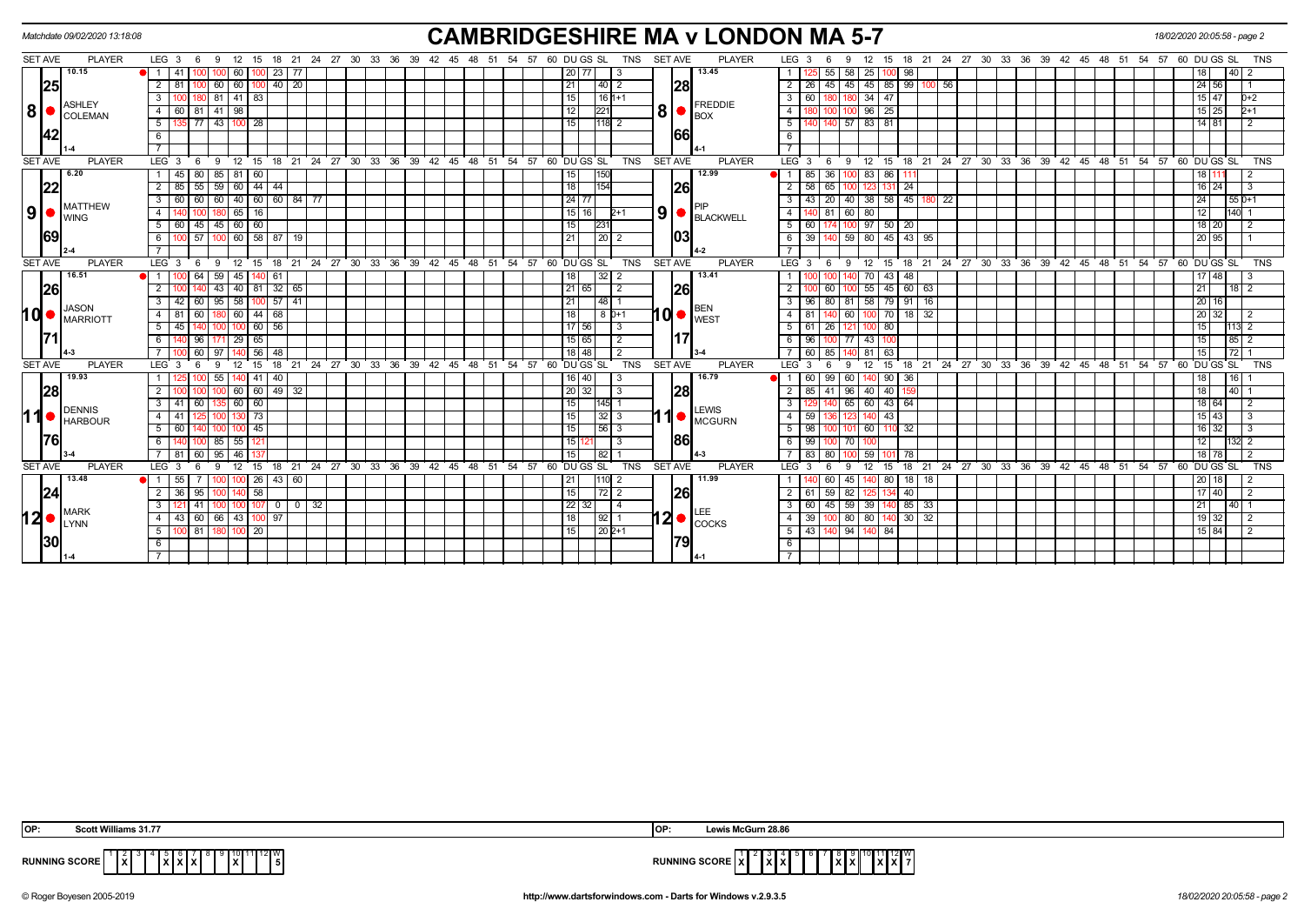|                |                              | Matchdate 09/02/2020 13:18:08 |                            |                     |                           |                         |                                                       |                        |                      |                 |                  |                              |                | <b>CAMBRIDGESHIRE MA v LONDON MA 5-7</b> |                         |                  |                         |             |         |                              |               |  |                      |                                           |    |                                                       | 18/02/2020 20:05:58 - page 2 |                               |                  |            |
|----------------|------------------------------|-------------------------------|----------------------------|---------------------|---------------------------|-------------------------|-------------------------------------------------------|------------------------|----------------------|-----------------|------------------|------------------------------|----------------|------------------------------------------|-------------------------|------------------|-------------------------|-------------|---------|------------------------------|---------------|--|----------------------|-------------------------------------------|----|-------------------------------------------------------|------------------------------|-------------------------------|------------------|------------|
| SET AVE        |                              | <b>PLAYER</b>                 | $LEG_3 6$                  | 12<br>- 9           | 15                        |                         | 18 21 24 27 30 33 36 39 42 45 48 51 54 57 60 DU GS SL |                        |                      |                 |                  | <b>SET AVE</b><br><b>TNS</b> |                | <b>PLAYER</b>                            | LEG <sub>3</sub>        |                  | -6                      |             | 15      |                              |               |  |                      |                                           |    | 18 21 24 27 30 33 36 39 42 45 48 51 54 57 60 DU GS SL |                              |                               |                  | <b>TNS</b> |
|                |                              | 10.15                         | 1141                       | 60 <sub>1</sub>     | 23<br>-77                 |                         |                                                       |                        |                      |                 |                  |                              |                | 13.45                                    |                         |                  | 55<br>58                | $25 \mid$   | 100     | 98                           |               |  |                      |                                           |    |                                                       |                              |                               | 40               |            |
|                | 25                           |                               | $\overline{2}$<br>-81      | 60<br>60            | 40 20                     |                         |                                                       |                        |                      | 21              | 40 l             |                              | 28             |                                          | $\overline{2}$          | 26               | 45<br>45                |             | 45 85   |                              | 99   100   56 |  |                      |                                           |    |                                                       |                              | 24 56                         |                  |            |
|                |                              | ASHLEY                        | 3                          | 0 81 41 83          |                           |                         |                                                       |                        |                      | 15              | $16 1+1$         |                              |                | <b>FREDDIE</b>                           | - 3 I                   | 60               |                         | $34$ 47     |         |                              |               |  |                      |                                           |    |                                                       |                              | $15 \mid 47$                  | $0+2$            |            |
| 8 •            |                              | <b>COLEMAN</b>                | $81 \mid 41$<br>4<br>60    | 98                  |                           |                         |                                                       |                        |                      | 12              | 221              | 8                            |                | <b>BOX</b>                               | $\overline{4}$          |                  |                         |             | $96$ 25 |                              |               |  |                      |                                           |    |                                                       |                              | $15 \ 25$                     | 2+1              |            |
|                |                              |                               | 5 <sub>1</sub>             | 177   43   100   28 |                           |                         |                                                       |                        |                      | 15              | $1118$ 2         |                              |                |                                          | 5                       |                  | 140 57 83 81            |             |         |                              |               |  |                      |                                           |    |                                                       |                              | $14$ 81                       | $\overline{2}$   |            |
|                | 42                           |                               | 6                          |                     |                           |                         |                                                       |                        |                      |                 |                  |                              | 1661           |                                          | 6                       |                  |                         |             |         |                              |               |  |                      |                                           |    |                                                       |                              |                               |                  |            |
|                |                              |                               |                            |                     |                           |                         |                                                       |                        |                      |                 |                  |                              |                |                                          |                         |                  |                         |             |         |                              |               |  |                      |                                           |    |                                                       |                              |                               |                  |            |
| <b>SET AVE</b> |                              | <b>PLAYER</b>                 | LEG <sub>3</sub><br>- 6    | - 9<br>12 15        |                           | 18 21 24 27 30 33 36 39 |                                                       | $42 \quad 45 \quad 48$ | 51 54 57 60 DUGS SL  |                 |                  | <b>TNS</b>                   | <b>SET AVE</b> | <b>PLAYER</b>                            | LEG <sup>3</sup>        |                  | -9<br>- 6               |             | 12 15   |                              |               |  |                      |                                           |    | 18 21 24 27 30 33 36 39 42 45 48 51 54 57 60 DUGS SL  |                              |                               |                  | <b>TNS</b> |
|                |                              | 6.20                          | $1 \mid 45$                | 80 85 81 60         |                           |                         |                                                       |                        |                      | 15 <sup>1</sup> | 150              |                              |                | 12.99                                    | $\bullet$ 1             |                  | 85 36 10                |             | 83 86   | -111                         |               |  |                      |                                           |    |                                                       |                              |                               | 2                |            |
|                | 22                           |                               | $\overline{2}$<br>-55 I    | 59                  | 60 44 44                  |                         |                                                       |                        |                      | 18              | 154              |                              | 26             |                                          | $\overline{2}$          | 58               | 65                      |             | 131     | 24                           |               |  |                      |                                           |    |                                                       |                              | 24<br>16                      | 3                |            |
|                |                              | MATTHEW                       | 3 <sup>1</sup><br>60<br>60 | 60                  | 40 60 60 84 77            |                         |                                                       |                        |                      | 24 77           |                  |                              |                |                                          | 3                       | 43               | 20<br>40                |             | 38 58   |                              | 45 180 22     |  |                      |                                           |    |                                                       | 24                           |                               | $55D+1$          |            |
| 9 <sup>1</sup> |                              | <b>WING</b>                   | $\overline{4}$             | $65$   16<br>180    |                           |                         |                                                       |                        |                      | $15$   16       | $2+1$            | 9 <sup>1</sup>               |                | <b>BLACKWELL</b>                         | 4 I                     |                  | 81                      | 60 80       |         |                              |               |  |                      |                                           |    |                                                       | 12                           |                               | 140 <sup>1</sup> |            |
|                |                              |                               | 5 60                       | 45 45 60 60         |                           |                         |                                                       |                        |                      | 15 <sup>1</sup> | 23'              |                              |                |                                          | 51                      | 60 l             |                         |             | 97 50   | 20                           |               |  |                      |                                           |    |                                                       |                              | $18$ 20                       |                  |            |
|                | 69                           |                               | 6                          | 57 100 60 58 87 19  |                           |                         |                                                       |                        |                      | 21 I            | 20 2             |                              |                |                                          |                         |                  | 6 39 140 59 80 45 43 95 |             |         |                              |               |  |                      |                                           |    |                                                       |                              | 20 95                         |                  |            |
|                |                              |                               |                            |                     |                           |                         |                                                       |                        |                      |                 |                  |                              |                |                                          |                         |                  |                         |             |         |                              |               |  |                      |                                           |    |                                                       |                              |                               |                  |            |
| <b>SET AVE</b> |                              | <b>PLAYER</b>                 | LEG <sup>3</sup>           | 12<br>-9            | 15                        |                         | 18 21 24 27 30 33 36 39 42 45 48                      |                        | 51 54 57 60 DUGS SL  |                 |                  | <b>TNS</b>                   | <b>SET AVE</b> | <b>PLAYER</b>                            | LEG <sup>'</sup> 3      |                  | - 9<br>6                | 12          | 15      |                              |               |  |                      |                                           |    | 18 21 24 27 30 33 36 39 42 45 48 51 54 57 60 DUGS SL  |                              |                               |                  | <b>TNS</b> |
|                |                              | 16.51                         | 64                         | 59                  | 45   140   61             |                         |                                                       |                        |                      | 18 I            | 32<br>$\sqrt{2}$ |                              |                | 13.41                                    |                         |                  |                         |             | 70 43   | 48                           |               |  |                      |                                           |    |                                                       |                              | 48                            |                  |            |
|                | 26                           |                               | $\overline{2}$             | 43 40 81 32 65      |                           |                         |                                                       |                        |                      | 21 65           | $\overline{2}$   |                              | 1261           |                                          | $\overline{2}$          |                  | 60                      |             |         | $55 \mid 45 \mid 60 \mid 63$ |               |  |                      |                                           |    |                                                       | 21                           |                               |                  |            |
|                |                              | <b>JASON</b>                  | $\mathbf{3}$<br>42<br>60   | 95                  | 58   100   57   41        |                         |                                                       |                        |                      | 21              | 48               |                              |                | <b>BEN</b>                               | $\overline{3}$          | 96               | 80 81 58 79 91 16       |             |         |                              |               |  |                      |                                           |    |                                                       | 20                           | 16                            |                  |            |
| ∣d∙            |                              | <b>IMARRIOTT</b>              | 4   81<br>60               | 60 44 68            |                           |                         |                                                       |                        |                      | 18              | $8D+1$           |                              | ∣d•            | <b>WEST</b>                              | 4   81                  |                  | 60 T                    |             |         | 100 70 18 32                 |               |  |                      |                                           |    |                                                       |                              | 32<br>20                      |                  |            |
|                |                              |                               | $5 \mid 45$                |                     | $100$ 60 $\overline{56}$  |                         |                                                       |                        |                      | $17$ 56         | $\overline{3}$   |                              |                |                                          |                         | 5   61           | 26 121                  |             | 100 80  |                              |               |  |                      |                                           |    |                                                       |                              | 15                            |                  |            |
|                |                              |                               | 6<br>96 I                  | 29 65<br>171        |                           |                         |                                                       |                        |                      | 15 65           | 2                |                              |                |                                          | 6                       | 96               | 77                      | 43          |         |                              |               |  |                      |                                           |    |                                                       | 15                           |                               | $85$ 2           |            |
|                |                              |                               | 60 97                      |                     | 56 48                     |                         |                                                       |                        |                      | 18 48           | $\overline{2}$   |                              |                |                                          |                         | 60               | 85                      | $81$ 63     |         |                              |               |  |                      |                                           |    |                                                       | 15                           |                               | 72               |            |
| <b>SET AVE</b> |                              | <b>PLAYER</b>                 | LEG <sub>3</sub>           |                     | 18<br>$^{\circ}$ 21<br>15 | 24 27 30 33 36 39       | $42 \quad 45$                                         | 48                     | 51 54 57 60 DU GS SL |                 |                  | <b>TNS</b>                   | <b>SET AVE</b> | <b>PLAYER</b>                            | LEG <sub>3</sub>        |                  |                         |             | 15      | 18                           |               |  | 21 24 27 30 33 36 39 | 42 45 48 51                               | 54 |                                                       | 57 60 DU GS SL               |                               |                  | <b>TNS</b> |
|                |                              | 19.93                         |                            | 55<br>ll 41         | 40                        |                         |                                                       |                        |                      | 16   40         | -3               |                              |                | 16.79                                    |                         | 60               | 99   60                 |             | 40 90   | 36                           |               |  |                      |                                           |    |                                                       |                              |                               | 16               |            |
|                | 28                           |                               | $\overline{2}$             |                     | 60 60 49 32               |                         |                                                       |                        |                      | 20 32           | -3               |                              | 28             |                                          | $\overline{2}$          | 85               | 96<br>41                |             | 40 40   |                              |               |  |                      |                                           |    |                                                       | 18                           |                               | $40 \quad 1$     |            |
|                |                              | DENNIS                        | $3 \mid 41$<br>60 I        | 60 60<br>1351       |                           |                         |                                                       |                        |                      | 15 <sub>l</sub> | 145              |                              |                | LEWIS                                    | $\overline{3}$          |                  |                         | 65 60 43 64 |         |                              |               |  |                      |                                           |    |                                                       |                              | 18 64                         | 2                |            |
| ∣1             |                              | <b>HARBOUR</b>                | $4 \mid 41$                | 1301 73             |                           |                         |                                                       |                        |                      | 15              | $32 \mid 3$      |                              |                | <b>MCGURN</b>                            | $\overline{4}$          | 59               |                         |             | 43      |                              |               |  |                      |                                           |    |                                                       |                              | $15 \overline{\smash{)}\ 43}$ | -3               |            |
|                |                              |                               | 5 60                       | 100145<br>100       |                           |                         |                                                       |                        |                      | 15 <sub>l</sub> | $\sqrt{56}$ 3    |                              |                |                                          |                         | $5 \mid 98$      | 100 101 60 110 32       |             |         |                              |               |  |                      |                                           |    |                                                       |                              | $16 \overline{)32}$           | 3                |            |
|                | 1761                         |                               | 6                          | $ 00 $ 85<br>55 12  |                           |                         |                                                       |                        |                      | 15 12           | -3               |                              | 86             |                                          | 6                       | 99               | 70                      |             |         |                              |               |  |                      |                                           |    |                                                       |                              | 12                            | $32\overline{2}$ |            |
|                |                              |                               | $60$ 95<br>7 81            | $46$ 1              |                           |                         |                                                       |                        |                      | 15 <sub>1</sub> | 82               |                              |                |                                          | -7 I                    | 83               | 80                      | $59$ 10     |         | 78                           |               |  |                      |                                           |    |                                                       |                              | 18 78                         | $\overline{2}$   |            |
| <b>SET AVE</b> |                              | <b>PLAYER</b>                 | LEG 3                      | 12 15<br>-9         |                           | 18 21 24 27 30 33 36 39 |                                                       | 42 45 48               | 51 54 57             | 60 DU GS SL     |                  | <b>TNS</b>                   | <b>SET AVE</b> | <b>PLAYER</b>                            | LEG <sub>3</sub>        |                  | -6<br>-9                | 12          | 15      |                              |               |  |                      | 18 21 24 27 30 33 36 39 42 45 48 51 54 57 |    |                                                       | 60                           | DU GS SL                      |                  | TNS        |
|                |                              | 13.48                         | $\bullet$ 1 55             |                     | 26 43 60                  |                         |                                                       |                        |                      |                 | 110 2            |                              |                | 11.99                                    |                         |                  | 60<br>45 I              |             | 80      | 18   18                      |               |  |                      |                                           |    |                                                       |                              | 18                            |                  |            |
|                | 24                           |                               | 2 36 95                    | $140$ 58<br>100     |                           |                         |                                                       |                        |                      | 15              |                  |                              | 26             |                                          |                         | 2   61           | $59 \mid 82 \mid$       | 125         | 134     | 40                           |               |  |                      |                                           |    |                                                       |                              | 17 <sup>1</sup><br>40         | $\overline{2}$   |            |
|                |                              | MARK                          | $\mathbf{3}$               |                     | $0 0 32$                  |                         |                                                       |                        |                      | 22 32           | $\overline{4}$   |                              |                |                                          | $\overline{\mathbf{3}}$ |                  | 60 45 59 39             |             | 140     | $85 \mid 33$                 |               |  |                      |                                           |    |                                                       | 21                           |                               | 40   1           |            |
|                | $12 \bullet  _{LYNN}^{MARK}$ |                               | 4 43 60 66 43 100 97       |                     |                           |                         |                                                       |                        |                      | 18              | 92 1             |                              |                | $12 \bullet$ $\int_{\text{COCKS}}$       | 4 I                     | - 39 I           | 100 80 80 140 30 32     |             |         |                              |               |  |                      |                                           |    |                                                       |                              | 32<br>19                      | 2                |            |
|                |                              |                               | 81 I<br>51                 | l 20                |                           |                         |                                                       |                        |                      | 15              | $1202+1$         |                              |                |                                          |                         | $5 \mid 43 \mid$ |                         | 94 140 84   |         |                              |               |  |                      |                                           |    |                                                       |                              | 15 84                         | $\mathcal{P}$    |            |
|                | 30                           |                               | - 6                        |                     |                           |                         |                                                       |                        |                      |                 |                  |                              | 79             |                                          | 6                       |                  |                         |             |         |                              |               |  |                      |                                           |    |                                                       |                              |                               |                  |            |
|                |                              |                               | $\overline{7}$             |                     |                           |                         |                                                       |                        |                      |                 |                  |                              |                |                                          | $\overline{7}$          |                  |                         |             |         |                              |               |  |                      |                                           |    |                                                       |                              |                               |                  |            |

| OP:                  | $\cdots$ $\sim$ $\sim$ $\sim$<br>™liainS 31. r. . | IOP: | Lewis McGurn 28.86                                                                                     |
|----------------------|---------------------------------------------------|------|--------------------------------------------------------------------------------------------------------|
| <b>RUNNING SCORE</b> | -lxl<br><u>IXIXIXI</u><br>lxl<br>I 5 I            |      | $9$ 10 11 12 W<br><b>RUNNING SCORE   X</b><br> X X<br>$\mathbf{I} \times \mathbf{I} \times \mathbf{I}$ |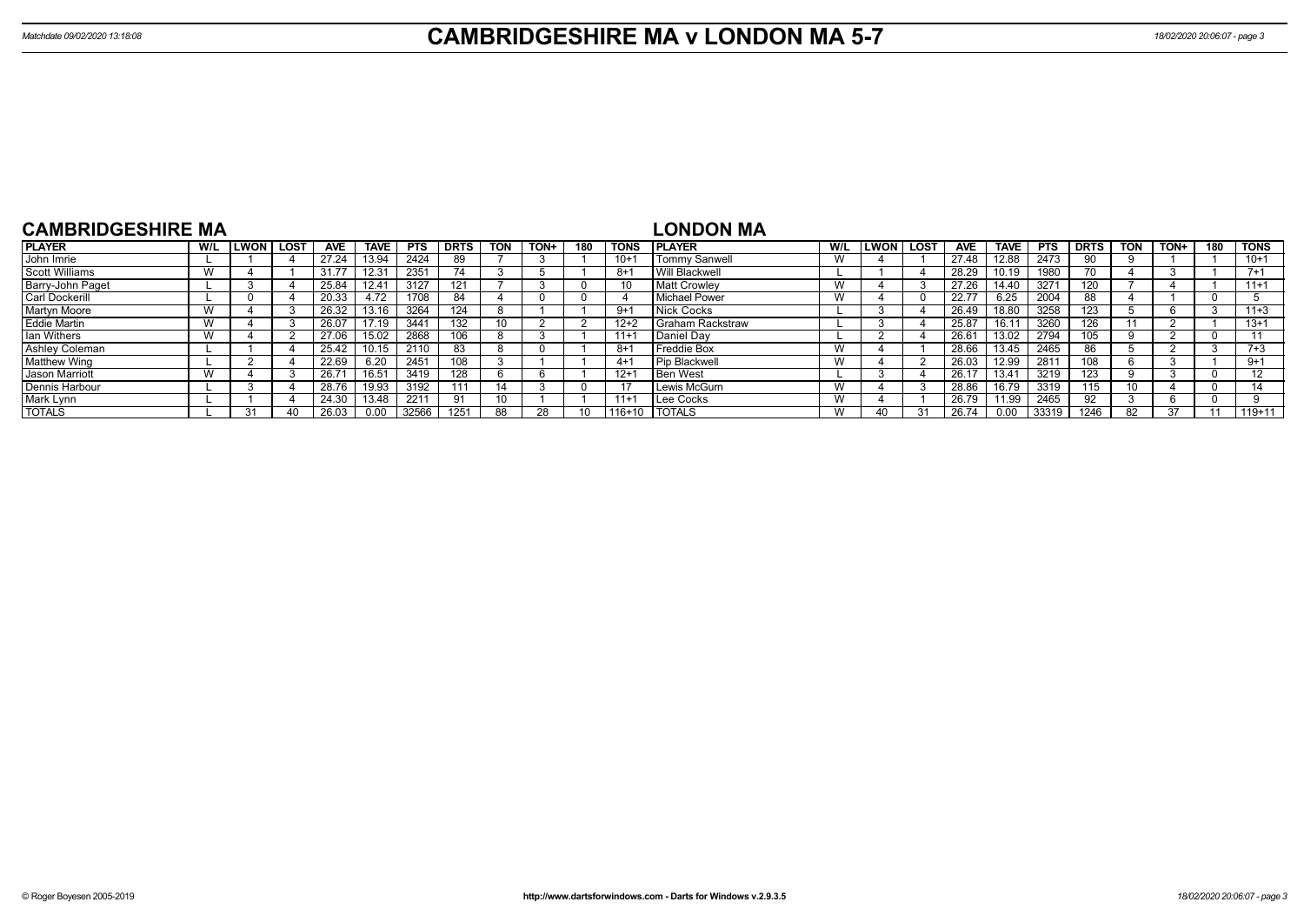| <b>CAMBRIDGESHIRE MA</b> |     |              |      |            |                   |            |             |                 |             |     |             | LONDON MA             |     |      |             |                |       |                  |             |            |      |     |             |
|--------------------------|-----|--------------|------|------------|-------------------|------------|-------------|-----------------|-------------|-----|-------------|-----------------------|-----|------|-------------|----------------|-------|------------------|-------------|------------|------|-----|-------------|
| <b>PLAYER</b>            | W/L | <b>ILWON</b> | LOST | <b>AVE</b> | <b>TAVE</b>       | <b>PTS</b> | <b>DRTS</b> | <b>TON</b>      | <b>TON+</b> | 180 | <b>TONS</b> | <b>IPLAYER</b>        | W/L | LWON | <b>LOST</b> | <b>AVE</b>     | TAVE. | <b>PTS</b>       | <b>DRTS</b> | <b>TON</b> | TON+ | 180 | <b>TONS</b> |
| John Imrie               |     |              |      | 27.24      | 13.94             | 2424       | 89          |                 |             |     | $10 +$      | <b>Tommy Sanwell</b>  | W   |      |             | 27.48          | 12.88 | 2473             | 90          |            |      |     | $10+1$      |
| <b>Scott Williams</b>    |     |              |      | 31.77      | 12.3 <sup>4</sup> | 2351       | 74          |                 |             |     | $8+$        | <b>Will Blackwell</b> |     |      |             | 28.29          | 10.19 | 1980             | 70.         |            |      |     | $7 + 1$     |
| Barry-John Paget         |     |              |      | 25.84      | 12.41             | 3127       |             |                 |             |     | 10          | <b>Matt Crowlev</b>   | W   |      |             | 27.26          | 14.40 | 327 <sup>4</sup> | 120         |            |      |     | $11+1$      |
| <b>Carl Dockerill</b>    |     |              |      | 20.33      | 4.72              | 1708       | 84          |                 |             |     |             | <b>Michael Power</b>  | W   |      |             | 22.77          | 6.25  | 2004             | 88          |            |      |     |             |
| <b>Martyn Moore</b>      |     |              |      | 26.32      | 13.16             | 3264       | 124         |                 |             |     | -9+         | Nick Cocks            |     |      |             | 26.49          | 18.80 | 3258             | 123         |            |      |     | $11+3$      |
| <b>Eddie Martin</b>      |     |              |      | 26.07      | 17.19             | 3441       |             | 10 <sup>1</sup> |             |     | $12+2$      | Graham Rackstraw      |     |      |             | 25.87          | 16.11 | 3260             | 126         |            |      |     | $13+1$      |
| Ian Withers              |     |              |      | 27.06      | 502               | 2868       |             |                 |             |     | $11 +$      | Daniel Dav            |     |      |             | $26.6^{\circ}$ | 13.02 | 2794             | 105         |            |      |     |             |
| Ashley Coleman           |     |              |      | 25.42      |                   | 2110       | 83          |                 |             |     | -8+         | Freddie Box           | W   |      |             | 28.66          | 13.45 | 2465             | 86          |            |      |     | $7 + 3$     |
| <b>Matthew Wing</b>      |     |              |      | 22.69      | 6.20              | 2451       | 108         |                 |             |     | 4+1         | <b>Pip Blackwell</b>  | W   |      |             | 26.03          | 12.99 | 281              | 108         |            |      |     | $9 + 1$     |
| <b>Jason Marriott</b>    |     |              |      | 26.7'      |                   | 3419       | 128         |                 |             |     | $12 +$      | <b>Ben West</b>       |     |      |             | 26.17          | 13.41 | 3219             | 123         |            |      |     | 12          |
| Dennis Harbour           |     |              |      | 28.76      | 19.93             | 3192       | 111         |                 |             |     | 17          | Lewis McGurn          | W   |      |             | 28.86          | 16.79 | 3319             | 115         |            |      |     |             |
| Mark Lynn                |     |              |      | 24.30      | 13.48             | 2211       | 91          | 10              |             |     | $11+1$      | Lee Cocks             | W   |      |             | 26.79          | 1.99  | 2465             |             |            |      |     |             |
| <b>TOTALS</b>            |     | 31           | 40   | 26.03      | 0.00              | 32566      |             | 88              |             |     | $116 + 10$  | <b>TOTALS</b>         | W   |      | $^{\circ}$  | 26.74          | 0.00  | 33319            | 1246        |            | 37   |     | $119+11$    |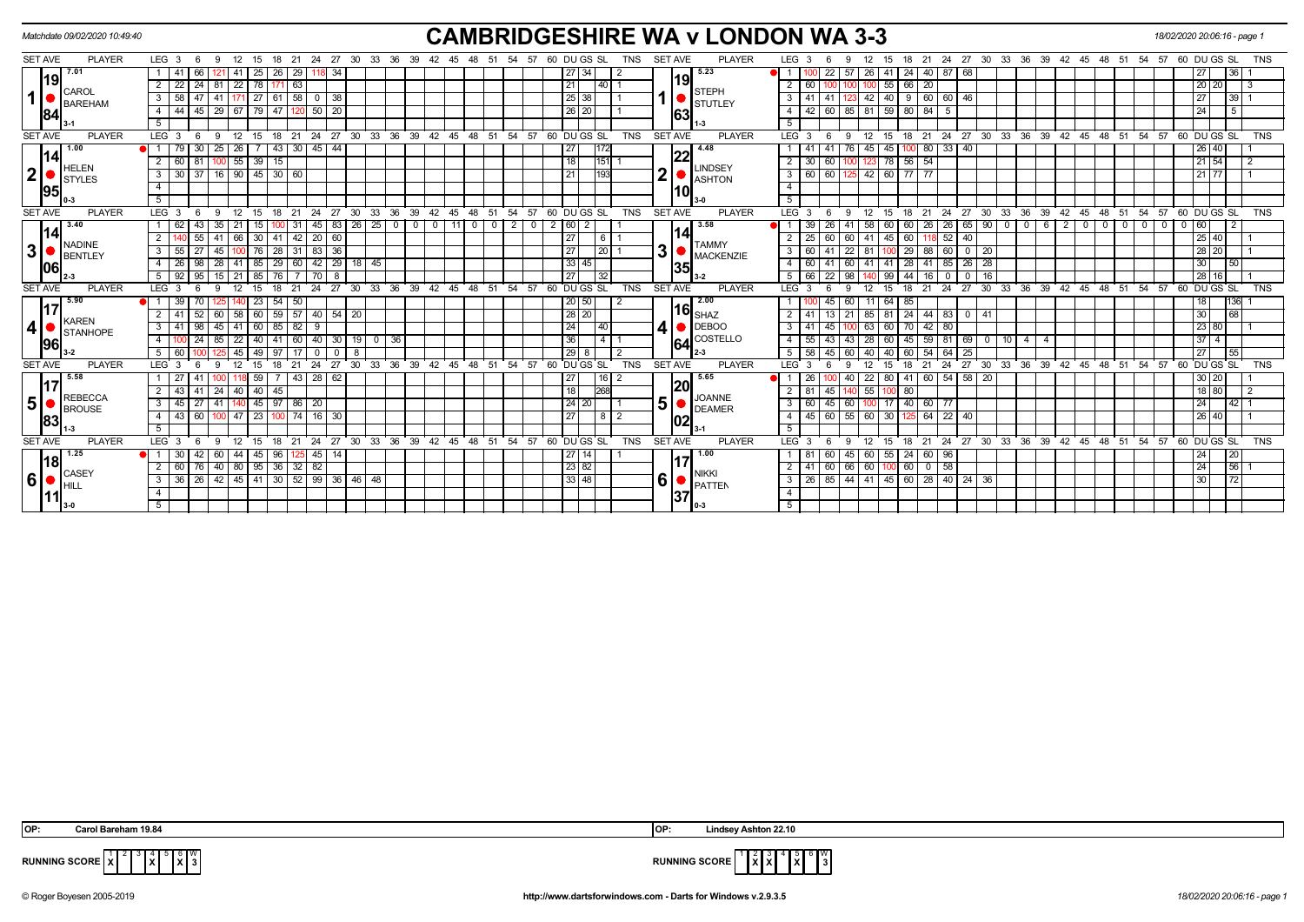|                |                | Matchdate 09/02/2020 10:49:40   |                  |                |              |              |      |             |                         |                      |                 |                             |              |                                                     |                |                         |                                      |          |                   |                |       |                |                |      |              |                 |            |   |                |                                  | <b>CAMBRIDGESHIRE WA v LONDON WA 3-3</b> |                           |              |      |                               |                     |                 |                |                  |    |                                 |                              |                |                                                      |            |                |   |      | 18/02/2020 20:06:16 - page 1 |                  |                             |                 |            |
|----------------|----------------|---------------------------------|------------------|----------------|--------------|--------------|------|-------------|-------------------------|----------------------|-----------------|-----------------------------|--------------|-----------------------------------------------------|----------------|-------------------------|--------------------------------------|----------|-------------------|----------------|-------|----------------|----------------|------|--------------|-----------------|------------|---|----------------|----------------------------------|------------------------------------------|---------------------------|--------------|------|-------------------------------|---------------------|-----------------|----------------|------------------|----|---------------------------------|------------------------------|----------------|------------------------------------------------------|------------|----------------|---|------|------------------------------|------------------|-----------------------------|-----------------|------------|
|                | <b>SET AVE</b> | <b>PLAYER</b>                   | LEG <sub>3</sub> |                | - 6          | - 9          |      |             | 12 15 18 21             |                      |                 |                             |              | 24 27 30 33 36 39                                   |                |                         |                                      | 42 45 48 |                   | 51             |       | 54 57          |                |      |              | 60 DU GS SL     | TNS        |   | <b>SET AVE</b> |                                  | <b>PLAYER</b>                            | LEG <sub>3</sub>          |              |      | 9                             | 12<br>15            | 18              |                |                  |    |                                 |                              |                | 21  24  27  30  33  36  39  42  45  48  51           |            |                |   |      | 54 57 60 DU GS SL            |                  |                             |                 | TNS        |
|                |                | 7.01                            |                  | -41            | 66           | 121          | -41  | 25          | 26                      | 29                   |                 | 34                          |              |                                                     |                |                         |                                      |          |                   |                |       |                |                |      | 27 34        |                 |            |   |                | 5.23                             |                                          |                           |              | 22   | 57                            | $26$ 41             | $\sqrt{24}$     |                | 40 87 68         |    |                                 |                              |                |                                                      |            |                |   |      |                              | 27               |                             | 36              |            |
|                | 119            |                                 | $\overline{2}$   | 22             | $24 \mid 81$ |              |      |             | 22   78   171   63      |                      |                 |                             |              |                                                     |                |                         |                                      |          |                   |                |       |                |                | 21   |              | 40              |            |   | 19             |                                  |                                          | $\overline{2}$            | 60           |      |                               | 55                  | 66              | 20             |                  |    |                                 |                              |                |                                                      |            |                |   |      |                              |                  | 20 20                       |                 |            |
| 1              |                | CAROL<br>BAREHAM                | 3                | $58$   47   41 |              |              |      |             |                         |                      |                 | $27$ 61 58 0 38             |              |                                                     |                |                         |                                      |          |                   |                |       |                |                |      | $25 \mid 38$ |                 |            |   |                | <b>STEPH</b>                     |                                          | 3                         | 41   41      |      | 123                           |                     | $42$ 40 9       |                | 60 60 46         |    |                                 |                              |                |                                                      |            |                |   |      |                              | 27               |                             | 39              |            |
|                |                |                                 | 4                |                |              |              |      |             |                         |                      |                 | 44 45 29 67 79 47 120 50 20 |              |                                                     |                |                         |                                      |          |                   |                |       |                |                |      | 26 20        |                 |            |   | 63             | <b>STUTLEY</b>                   |                                          | $\overline{4}$            |              |      | 42 60 85 81 59 80 84 5        |                     |                 |                |                  |    |                                 |                              |                |                                                      |            |                |   |      |                              |                  | 24                          | 5               |            |
|                | 84             |                                 | 5                |                |              |              |      |             |                         |                      |                 |                             |              |                                                     |                |                         |                                      |          |                   |                |       |                |                |      |              |                 |            |   |                |                                  |                                          | $\overline{5}$            |              |      |                               |                     |                 |                |                  |    |                                 |                              |                |                                                      |            |                |   |      |                              |                  |                             |                 |            |
|                | <b>SET AVE</b> | <b>PLAYER</b>                   | LEG <sub>3</sub> |                | - 6          | - 9          |      | 12 15       |                         |                      |                 |                             |              | 18 21 24 27 30 33 36 39 42 45 48 51 54 57 60 DUGSSL |                |                         |                                      |          |                   |                |       |                |                |      |              |                 | TNS        |   | <b>SET AVE</b> |                                  | <b>PLAYER</b>                            | $LEG \cdot 3 \cdot 6$     |              |      | -9                            | $12 \quad 15$       |                 |                |                  |    |                                 |                              |                | 18 21 24 27 30 33 36 39 42 45 48 51 54 57 60 DUGS SL |            |                |   |      |                              |                  |                             |                 | <b>TNS</b> |
|                |                | 1.00                            |                  |                | 30           | 25           | 26 I |             |                         | $43 \mid 30 \mid 45$ |                 | 44                          |              |                                                     |                |                         |                                      |          |                   |                |       |                |                | 27   |              |                 |            |   |                | 4.48                             |                                          |                           |              |      | 76                            | 45<br>45            |                 |                | 80 33 40         |    |                                 |                              |                |                                                      |            |                |   |      |                              |                  | 26 40                       |                 |            |
|                | 14             |                                 | $\overline{2}$   | 60 81          |              | 100          |      | $55$   39   | 15                      |                      |                 |                             |              |                                                     |                |                         |                                      |          |                   |                |       |                |                | 18   |              | 151             |            |   | 22             |                                  |                                          | $\overline{2}$            | 30           | l 60 |                               | 78                  | 56              | 54             |                  |    |                                 |                              |                |                                                      |            |                |   |      |                              |                  | $21 \overline{54}$          |                 |            |
| ا 2            |                | <b>HELEN</b><br><b>I</b> styles | 3                | $30 \mid 37$   |              | 16           |      |             | 90   45   30   60       |                      |                 |                             |              |                                                     |                |                         |                                      |          |                   |                |       |                |                | 21   |              | 193             |            | 2 |                | <b>LINDSEY</b><br><b>ASHTON</b>  |                                          | 3                         | 60 60        |      | 125                           | 42 60               | $\overline{77}$ | 77             |                  |    |                                 |                              |                |                                                      |            |                |   |      |                              |                  | $21$ 77                     |                 |            |
|                | 95             |                                 | $\overline{4}$   |                |              |              |      |             |                         |                      |                 |                             |              |                                                     |                |                         |                                      |          |                   |                |       |                |                |      |              |                 |            |   | 10             |                                  |                                          | $\overline{4}$            |              |      |                               |                     |                 |                |                  |    |                                 |                              |                |                                                      |            |                |   |      |                              |                  |                             |                 |            |
|                |                |                                 | 5                |                |              |              |      |             |                         |                      |                 |                             |              |                                                     |                |                         |                                      |          |                   |                |       |                |                |      |              |                 |            |   |                |                                  |                                          | 5                         |              |      |                               |                     |                 |                |                  |    |                                 |                              |                |                                                      |            |                |   |      |                              |                  |                             |                 |            |
|                | <b>SET AVE</b> | <b>PLAYER</b>                   | LEG <sub>3</sub> |                | 6            | -9           | 12   | - 15        | 18                      | 21                   | 24              | 27                          | $30^{\circ}$ | 33 <sup>°</sup>                                     | 36             |                         | $39 \quad 42$                        |          | $45 \quad 48$     |                | 51 54 | 57             |                |      | 60 DU GS SL  |                 | TNS        |   | <b>SET AVE</b> |                                  | <b>PLAYER</b>                            | LEG <sup>1</sup>          |              |      | 12<br>-9                      | 15                  | 18              | 21             | 24               | 27 | $30^{\circ}$<br>33 <sup>°</sup> |                              |                | 36 39 42 45                                          |            | $48$ 51        |   |      | 54 57 60 DU GS SL            |                  |                             |                 | <b>TNS</b> |
|                |                | 3.40                            |                  | 62             |              | 35           |      |             |                         | -31                  | 45              | 83                          |              | 26 25                                               | $\overline{0}$ | $\overline{\mathbf{0}}$ | $\begin{array}{c} 1 & 0 \end{array}$ | 11       | $\cdot$ 0 $\cdot$ | $\overline{0}$ |       | $\overline{2}$ | $\overline{0}$ | 2 60 | 2            |                 |            |   |                | 3.58                             |                                          |                           | 39           | -26  | 41                            | 58<br>60            | 60              | 26 I           | 26 <sup>1</sup>  | 65 | 90                              | $\mathbf{0}$<br>$\mathbf{0}$ | 6              | 2                                                    | $^{\circ}$ | 0 <sup>1</sup> | 0 | - 0  | $\mathbf{0}$                 | 60<br>$^{\circ}$ |                             |                 |            |
|                | 14             | <b>NADINE</b>                   |                  |                |              | 41           |      |             | 66   30   41            | 42                   | $\overline{20}$ | 60                          |              |                                                     |                |                         |                                      |          |                   |                |       |                |                | 27   |              | 61              |            |   | 14             |                                  |                                          | $\overline{2}$            | 25           | l 60 | 60                            | 41<br>45            | 60              |                | $52$   40        |    |                                 |                              |                |                                                      |            |                |   |      |                              |                  | $25 \overline{\smash{)}40}$ |                 |            |
| 3              |                | BENTLEY                         | 3                | $55 \mid 27$   |              | 45           |      | 76          | $\overline{28}$         | 31                   | 83              | 36                          |              |                                                     |                |                         |                                      |          |                   |                |       |                |                | 27   |              | 20              |            |   | 3              | <b>TAMMY</b><br><b>MACKENZIE</b> |                                          | $3^{\circ}$               | 60           | 41   | $\overline{22}$               | -81                 | 29              | 88             | 60 0             |    | $\vert$ 20                      |                              |                |                                                      |            |                |   |      |                              |                  | 28 20                       |                 |            |
|                | 1061           |                                 |                  | 26             | 98           | 28           | 41   | 85          | $\sqrt{29}$             |                      |                 |                             |              | 60 42 29 18 45                                      |                |                         |                                      |          |                   |                |       |                |                |      | 33 45        |                 |            |   | 35             |                                  |                                          | 4                         | 60           | l 41 | 60                            | 41   41             | 28              | 41             | 85   26   28     |    |                                 |                              |                |                                                      |            |                |   |      |                              | 30 <sup>°</sup>  |                             | $\overline{50}$ |            |
|                |                |                                 | 5                |                |              |              |      |             | 92 95 15 21 85 76       |                      | l 70 l          | 8                           |              |                                                     |                |                         |                                      |          |                   |                |       |                |                | 27   |              | $\overline{32}$ |            |   |                | $3-2$                            |                                          | 5                         | 66   22      |      | 98                            | 140 99              | 44              |                | 16   0   0   16  |    |                                 |                              |                |                                                      |            |                |   |      |                              |                  | $28 \overline{16}$          |                 |            |
|                | <b>SET AVE</b> | <b>PLAYER</b>                   | LEG <sub>3</sub> |                |              |              |      | 15          | 18                      | 21                   | 24              |                             |              | 27 30 33 36 39 42 45 48 51 54 57                    |                |                         |                                      |          |                   |                |       |                |                |      | 60 DUGS SL   |                 | TNS        |   | SET AVE        |                                  | <b>PLAYER</b>                            | $LEG^{\prime}$ 3          |              |      |                               | 12<br>15            | 18              | 21             | 24               | 27 |                                 |                              |                | 30 33 36 39 42 45 48 51 54 57 60 DUGS SL             |            |                |   |      |                              |                  |                             |                 | <b>TNS</b> |
|                | 117            | 5.90                            |                  | 39 70          |              |              |      | 23          | 54                      | 50                   |                 |                             |              |                                                     |                |                         |                                      |          |                   |                |       |                |                |      | 20 50        |                 |            |   |                | 2.00                             |                                          |                           |              | 45   | 60                            | $11$ 64             | 85              |                |                  |    |                                 |                              |                |                                                      |            |                |   |      |                              |                  | 18                          | 136             |            |
|                |                | <b>KAREN</b>                    |                  | 41             |              | 60           |      |             | 58   60   59            |                      |                 | 57 40 54 20                 |              |                                                     |                |                         |                                      |          |                   |                |       |                |                |      | 28 20        |                 |            |   |                | $16$ $_{\rm SHAZ}$               |                                          | 2 <sup>1</sup>            | 41           | 13   | 21                            |                     | 85 81 24        |                | 44   83   0   41 |    |                                 |                              |                |                                                      |            |                |   |      |                              | 30 <sup>°</sup>  |                             | 68              |            |
| 4              |                | <b>STANHOPE</b>                 | 3                | 41             | 98           | 45           | 41   |             | 60 85 82                |                      |                 |                             |              |                                                     |                |                         |                                      |          |                   |                |       |                |                | 24   |              | 140             |            |   |                | DEBOO                            |                                          | 3 <sup>1</sup>            |              | 45   |                               | 63<br>60            | 70              | $42 \mid 80$   |                  |    |                                 |                              |                |                                                      |            |                |   |      |                              |                  | 23 80                       |                 |            |
|                | 96             |                                 | $\overline{4}$   |                | 24           | 85           | 22   | 40          | 41                      | 60                   | 40              | 30 <sup>1</sup>             |              | 190                                                 | 36             |                         |                                      |          |                   |                |       |                |                | 36   |              |                 |            |   | 164            | COSTELLO                         |                                          | $\overline{4}$            | 55           | 43   | 43                            | 28<br>60            | 45              |                | 59 81 69         |    | $\circ$ 1                       | 10<br>$\overline{4}$         | $\overline{4}$ |                                                      |            |                |   |      |                              |                  | $37 \mid 4$                 |                 |            |
|                |                |                                 | 5                | 60             |              |              | 45   | 49          | 97                      |                      |                 | $\overline{0}$              | -8           |                                                     |                |                         |                                      |          |                   |                |       |                |                |      | 29<br>8      |                 |            |   |                |                                  |                                          | 5 <sup>5</sup>            | 58           | 45   | 60                            | 40                  | 60              | 54             | 64               | 25 |                                 |                              |                |                                                      |            |                |   |      |                              | 27               |                             | 55              |            |
|                | <b>SET AVE</b> | <b>PLAYER</b>                   | <b>LEG</b>       |                |              |              |      |             |                         |                      | 24              | 27                          | 30           | 33                                                  | 36             | 39                      | 42                                   | 45       | 48                | 51             | 54    | 57             |                |      | 60 DU GS SL  |                 | <b>TNS</b> |   | <b>SET AVE</b> |                                  | <b>PLAYER</b>                            | LEG <sup>1</sup>          |              |      |                               |                     |                 |                | 24               | 27 | 30<br>33                        | 36                           |                | 39 42                                                | 45         | $48$ 51        |   | 54   | 57                           | 60 DU GS SL      |                             |                 | <b>TNS</b> |
|                | 117            | 5.58                            |                  |                |              |              |      | 59          |                         |                      |                 | 43 28 62                    |              |                                                     |                |                         |                                      |          |                   |                |       |                |                | 27   |              | 16              |            |   | 20             | 5.65                             |                                          |                           | 26           |      | 40                            | 22 80               | -41             |                | 60 54 58 20      |    |                                 |                              |                |                                                      |            |                |   |      |                              |                  | 30 20                       |                 |            |
|                |                | <b>REBECCA</b>                  | 2                | 43 41          |              | 24           |      |             | $40$   $40$   $45$      |                      |                 |                             |              |                                                     |                |                         |                                      |          |                   |                |       |                |                |      | 18           | 1268            |            |   |                | <b>JOANNE</b>                    |                                          | 2 <sup>1</sup>            | 81           | 45   | 140                           |                     | 55 100 80       |                |                  |    |                                 |                              |                |                                                      |            |                |   |      |                              |                  | 18 80                       |                 |            |
| 5 <sup>1</sup> |                | <b>BROUSE</b>                   | 3                | 45 27 41       |              |              |      |             | 45   97   86   20       |                      |                 |                             |              |                                                     |                |                         |                                      |          |                   |                |       |                |                |      | 24 20        |                 |            |   | 5              | <b>DEAMER</b>                    |                                          | 3 <sup>1</sup>            | 60 45        |      | 60                            |                     | 100 17 40       | 60 77          |                  |    |                                 |                              |                |                                                      |            |                |   |      |                              | 24               |                             | 42 <sub>1</sub> |            |
|                | 83             |                                 | $\overline{4}$   | 43 60          |              | 100          | 47   | $\sqrt{23}$ |                         | $100$ 74 16          |                 | 30                          |              |                                                     |                |                         |                                      |          |                   |                |       |                |                | 27   |              | 8   2           |            |   | 102            |                                  |                                          | 4 <sup>1</sup>            | $45 \mid 60$ |      | $\overline{55}$               | 60 30               | 125             | 64             | $22 \mid 40$     |    |                                 |                              |                |                                                      |            |                |   |      |                              |                  | 26 40                       |                 |            |
|                |                |                                 | 5                |                |              |              |      |             |                         |                      |                 |                             |              |                                                     |                |                         |                                      |          |                   |                |       |                |                |      |              |                 |            |   |                |                                  |                                          | 5                         |              |      |                               |                     |                 |                |                  |    |                                 |                              |                |                                                      |            |                |   |      |                              |                  |                             |                 |            |
|                | <b>SET AVE</b> | <b>PLAYER</b>                   | LEG <sub>3</sub> |                | - 6          | - 9          | 12   | - 15        | 18                      | $^{\circ}$ 21        |                 |                             |              | $24$ 27 30 33 36 39 42 45 48                        |                |                         |                                      |          |                   | 51             |       | 54 57          |                |      | 60 DU GS SL  |                 | <b>TNS</b> |   | <b>SET AVE</b> |                                  | <b>PLAYER</b>                            | $LEG^{\prime}$ 3          |              | - 6  | 9                             | 12<br>$^{\circ}$ 15 | 18              | 21             | $^{\circ}$ 24    |    |                                 |                              |                | 27 30 33 36 39 42 45 48 51                           |            |                |   | ີ 54 | 57                           | 60 DU GS SL      |                             |                 | <b>TNS</b> |
|                | 18             | 1.25                            |                  | 30             |              | $42 \mid 60$ |      |             | 44 45 96                |                      | 45              | 14                          |              |                                                     |                |                         |                                      |          |                   |                |       |                |                |      | 27<br>14     |                 |            |   |                | 1.00                             |                                          |                           | 81           | 60   | 45                            | 60 55               | 24              | 60 96          |                  |    |                                 |                              |                |                                                      |            |                |   |      |                              | 24               |                             | 20              |            |
|                |                | CASEY                           | $\overline{2}$   |                |              |              |      |             | 60 76 40 80 95 36 32 82 |                      |                 |                             |              |                                                     |                |                         |                                      |          |                   |                |       |                |                |      | 23 82        |                 |            |   |                | <b>NIKKI</b>                     |                                          | $\overline{2}$            |              |      | $41$ 60 66 60 100 60          |                     |                 | $\boxed{0}$ 58 |                  |    |                                 |                              |                |                                                      |            |                |   |      |                              | 24               |                             | $\overline{56}$ |            |
| 6              |                | Ihill                           | 3                |                |              |              |      |             |                         |                      |                 |                             |              | 36 26 42 45 41 30 52 99 36 46 48                    |                |                         |                                      |          |                   |                |       |                |                |      | 33   48      |                 |            |   | $6 \mid$       | <b>PATTEN</b>                    |                                          | $\overline{\phantom{a}3}$ |              |      | 26 85 44 41 45 60 28 40 24 36 |                     |                 |                |                  |    |                                 |                              |                |                                                      |            |                |   |      |                              |                  | 30 <sup>1</sup>             | 72              |            |
|                |                |                                 | $\overline{4}$   |                |              |              |      |             |                         |                      |                 |                             |              |                                                     |                |                         |                                      |          |                   |                |       |                |                |      |              |                 |            |   | 137            |                                  |                                          | $\overline{4}$            |              |      |                               |                     |                 |                |                  |    |                                 |                              |                |                                                      |            |                |   |      |                              |                  |                             |                 |            |
|                |                |                                 | 5                |                |              |              |      |             |                         |                      |                 |                             |              |                                                     |                |                         |                                      |          |                   |                |       |                |                |      |              |                 |            |   |                |                                  |                                          | 5 <sup>1</sup>            |              |      |                               |                     |                 |                |                  |    |                                 |                              |                |                                                      |            |                |   |      |                              |                  |                             |                 |            |

 3 4 **X** 6 **X** W



**RUNNING SCORE**  $\overline{X}$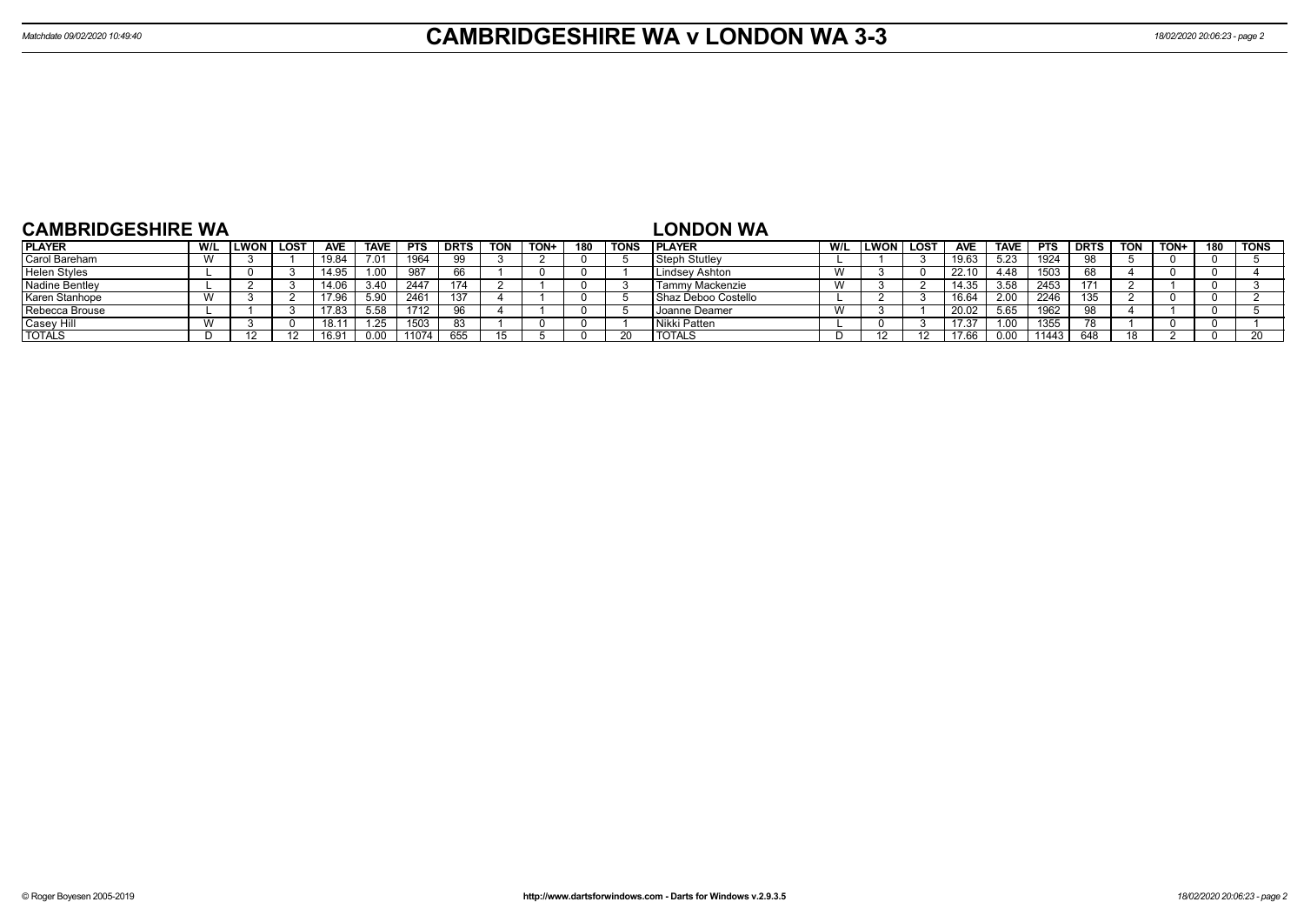| <b>CAMBRIDGESHIRE WA</b> |     |             |      |            |             |            |             |            |      |     |             | <b>LONDON WA</b>     |     |      |             |            |             |            |             |            |      |     |             |
|--------------------------|-----|-------------|------|------------|-------------|------------|-------------|------------|------|-----|-------------|----------------------|-----|------|-------------|------------|-------------|------------|-------------|------------|------|-----|-------------|
| <b>PLAYER</b>            | W/L | <b>LWON</b> | LOST | <b>AVE</b> | <b>TAVE</b> | <b>PTS</b> | <b>DRTS</b> | <b>TON</b> | TON+ | 180 | <b>TONS</b> | <b>IPLAYER</b>       | W/L | LWON | <b>LOST</b> | <b>AVE</b> | <b>TAVE</b> | <b>PTS</b> | <b>DRTS</b> | <b>TON</b> | TON+ | 180 | <b>TONS</b> |
| Carol Bareham            |     |             |      | 9.84ء      | 7.01        | 1964       | oο          |            |      |     |             | <b>Steph Stutlev</b> |     |      |             | 19.63      | 5.23        | 1924       |             |            |      |     |             |
| Helen Styles             |     |             |      | 14.95      |             | 987        | 66          |            |      |     |             | Lindsey Ashton       |     |      |             | 22.10      | 4.48        | 1503       |             |            |      |     |             |
| <b>Nadine Bentley</b>    |     |             |      |            | 3.40        | 2447       |             |            |      |     |             | Tammy Mackenzie      |     |      |             | 14.35      | 3.58        | 2453       |             |            |      |     |             |
| Karen Stanhope           |     |             |      | .7.9F      | 5.9ſ        | 2461       | 137         |            |      |     |             | Shaz Deboo Costello  |     |      |             | 16.64      | 2.00        | 2246       | 135         |            |      |     |             |
| Rebecca Brouse           |     |             |      | . 7.83     |             | ے171∡      |             |            |      |     |             | Joanne Deamer        |     |      |             | 20.02      | 5.65        | 1962       |             |            |      |     |             |
| Casey Hill               |     |             |      | 18.11      |             | 1503       |             |            |      |     |             | l Nikki Patten       |     |      |             | 17.3       | .00         | 1355       |             |            |      |     |             |
| <b>TOTALS</b>            |     |             |      | ۵          | 0.00        | 11074      | 655         |            |      |     |             | <b>TOTALS</b>        |     |      |             |            | 0.00        | 1144:      | 648         |            |      |     |             |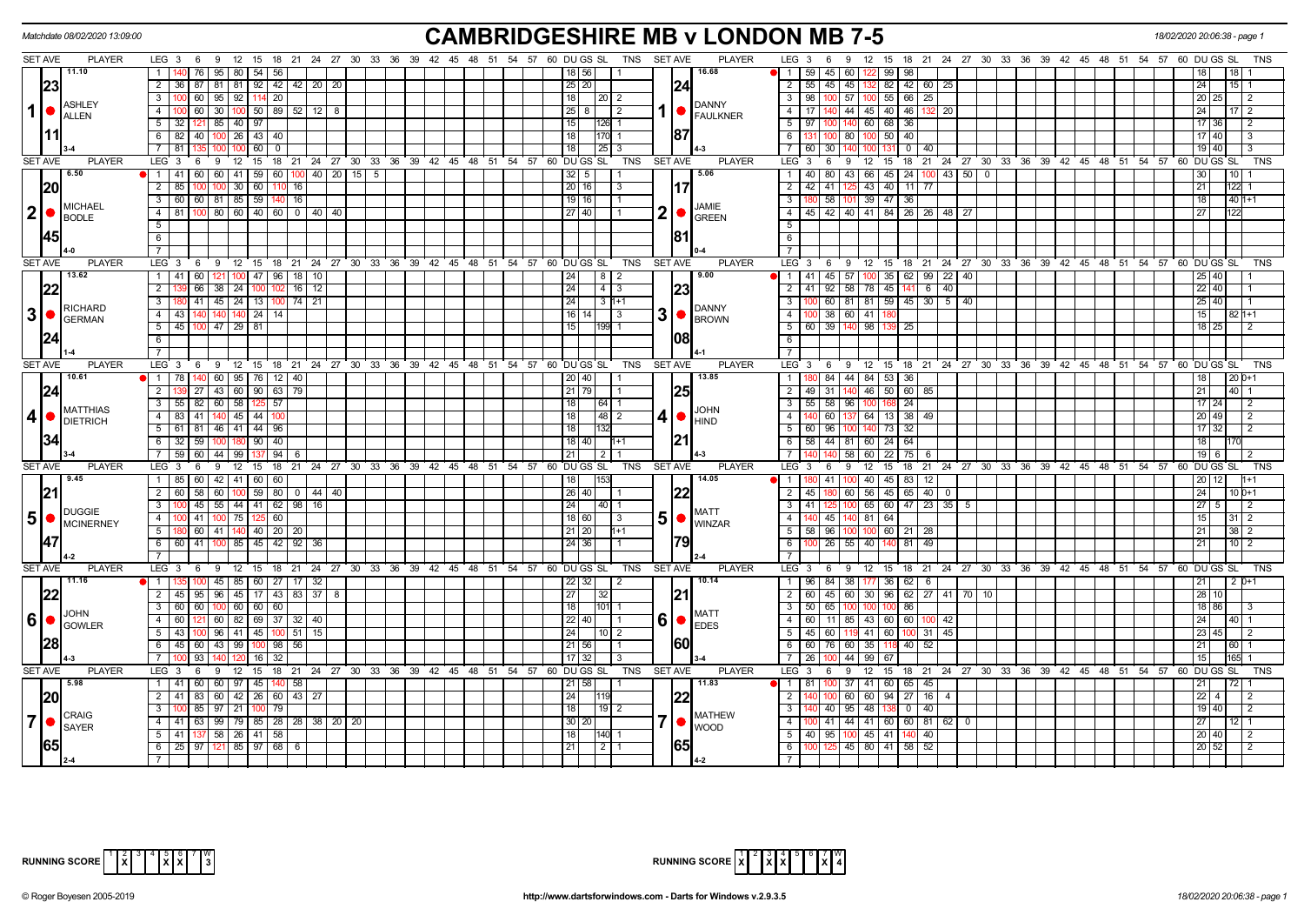|                 | Matchdate 08/02/2020 13:09:00                   |                                                                                              | <b>CAMBRIDGESHIRE MB v LONDON MB 7-5</b>                                                              |                                                                                                                                       | 18/02/2020 20:06:38 - page |
|-----------------|-------------------------------------------------|----------------------------------------------------------------------------------------------|-------------------------------------------------------------------------------------------------------|---------------------------------------------------------------------------------------------------------------------------------------|----------------------------|
| <b>SET AVE</b>  | <b>PLAYER</b>                                   | LEG 3 6 9 12 15 18 21 24 27 30 33 36 39 42 45 48 51 54 57 60 DUGS SL                         | TNS SET AVE<br><b>PLAYER</b>                                                                          | LEG $3 \quad 6$<br>9 12 15 18 21 24 27 30 33 36 39 42 45 48 51 54 57 60 DUGS SL                                                       | TNS                        |
|                 | 11.10                                           | $\mathbf{1}$<br>76<br>95<br>80   54  <br>56                                                  | 16.68<br>18 56 <br>$\vert$ 1                                                                          | 122 99<br>59   45   60<br>98                                                                                                          |                            |
|                 | 23                                              | $\overline{2}$<br>36 87 81<br>  81   92   42   42   20   20                                  | 25 20 <br> 24                                                                                         | 55   45   45   132   82   42   60   25<br>2                                                                                           | 24<br>15 I                 |
|                 | ASHLEY                                          | $\overline{3}$<br>60 95 92 114 20                                                            | 18<br>  20   2<br><b>DANNY</b>                                                                        | $\overline{\cdot \cdot \cdot}$<br> 98 <br>100 57<br>$100$ 55 66<br>25                                                                 | 20 25<br>-2                |
| $1$   $\bullet$ | <b>ALLEN</b>                                    | $\overline{4}$<br>30   100   50   89   52   12   8<br>60 l                                   | 1   FAULKNER<br>25 8 1<br>-2                                                                          | 140 44 45 40 46<br>$\overline{4}$<br>- 17 I<br>1321 20                                                                                | 24<br>17 I                 |
|                 |                                                 | $5 \mid 32 \mid 121 \mid 85 \mid 40 \mid 97$                                                 | 15<br>126                                                                                             | $\overline{5}$<br>97   100   140   60   68   36                                                                                       | 17 36                      |
|                 | 111                                             | $6$ 82 40 100<br>$26$ 43 40                                                                  | 87<br>18                                                                                              | 6<br>$100$ 80<br>$50 \mid 40$                                                                                                         | 17140                      |
|                 |                                                 | $\overline{7}$<br>$60$   0<br>81<br>100                                                      | 18<br>25                                                                                              | $\overline{7}$<br>60 30<br>$\overline{\circ}$<br>140<br> 40                                                                           | 19 40                      |
| SET AVE         | <b>PLAYER</b>                                   | LEG <sub>3</sub><br>່ 9<br>$12 \quad 15$<br>6                                                | 18 21 24 27 30 33 36 39 42 45 48 51 54 57 60 DUGS SL<br>TNS<br><b>SET AVE</b><br><b>PLAYER</b>        | LEG 3<br>9<br>12 15 18 21 24 27 30 33 36 39 42 45 48 51 54 57 60 DUGS SL<br>6                                                         | <b>TNS</b>                 |
|                 | 6.50                                            | 41 60 60 41 59 60 100 40 20 15 5<br>$\overline{1}$                                           | 5.06<br>$32 \mid 5$                                                                                   | 40   80   43   66   45   24   100   43   50   0  <br>$\overline{1}$                                                                   | 30<br>10                   |
|                 | <b>20</b>                                       | $\overline{2}$<br>$30$ 60<br>85<br>16<br>100<br>11(<br>100                                   | 20 16<br>17<br>3                                                                                      | $143$ 40 11 77<br>$\overline{2}$<br>42 41 125                                                                                         | 122<br>21                  |
|                 | MICHAEL                                         | 3 60 60 81 85 59 140<br> 16                                                                  | $19$ 16<br><b>JAMIE</b>                                                                               | 58 101<br>39 47 36<br>3                                                                                                               | 18<br>$401+1$              |
| 2 •             | <b>BODLE</b>                                    | $\overline{4}$<br>81 100 80 60 40 60<br>$0 \mid 40 \mid 40$                                  | $\mathbf{2}$<br>27 40 <br>IO.<br><b>GREEN</b>                                                         | 45   42   40   41   84   26   26   48   27<br>$\overline{4}$                                                                          |                            |
|                 |                                                 | 5                                                                                            | 181                                                                                                   | $5\overline{)}$                                                                                                                       |                            |
|                 | 145                                             | 6<br>$7^{\circ}$                                                                             |                                                                                                       | 6                                                                                                                                     |                            |
| SET AVE         | <b>PLAYER</b>                                   | LEG <sub>3</sub><br>$12 \quad 15$<br>18 21 24 27 30 33<br>36 39 42<br>9                      | $45 \quad 48 \quad 51$<br>54 57 60 DU GS SL<br><b>TNS</b><br><b>SET AVE</b><br><b>PLAYER</b>          | $\overline{7}$<br>39 42 45 48 51 54 57 60 DUGS SL<br><b>LEG</b><br>$12 \quad 15$<br>18 21 24 27<br>30 33 36<br>$\mathbf{3}$<br>6<br>9 | <b>TNS</b>                 |
|                 | 13.62                                           | 6<br>100 47 96 18 10<br>$1 \quad 41 \quad 60$<br>121                                         | 9.00<br>24<br>$8$   2                                                                                 | $1$   41   45   57   100   35   62   99   22   40                                                                                     | $25 \mid 40$               |
|                 | 22                                              | $\overline{2}$<br>66   38   24   100<br>16   12                                              | 23<br>24<br>  4   3                                                                                   | $92$ 58 78 45 141 6 40<br>2<br>l 41 l                                                                                                 | 22 40                      |
|                 |                                                 | $\overline{3}$<br>180 41 45 24 13 100<br>$74$ 21                                             | 24<br>$3 \mid 1+1$                                                                                    | 100 60 81 81 59 45 30 5 40<br>$\overline{\mathbf{3}}$                                                                                 | 25 40                      |
| 3               | <b>RICHARD</b><br>$\bullet$                     | $\overline{4}$<br>43 140<br>140<br>$140$ 24<br>14                                            | <b>DANNY</b><br>3 <sup>1</sup><br>$16$ 14<br>3                                                        | $\overline{4}$<br>38 60<br>41                                                                                                         | 15<br>82                   |
|                 | <b>GERMAN</b>                                   | $\overline{5}$<br>45 100 47 29 81                                                            | $\bigcap_{\mathsf{BROWN}}$<br>15<br>199 1                                                             | 5<br>60 39 140<br>98 139<br>25                                                                                                        | $18$ 25                    |
|                 | 24                                              | $6\overline{6}$                                                                              | 108                                                                                                   | 6                                                                                                                                     |                            |
|                 |                                                 | $\overline{7}$                                                                               |                                                                                                       | $\overline{7}$                                                                                                                        |                            |
| <b>SET AVE</b>  | <b>PLAYER</b>                                   | LEG <sub>3</sub><br>12 15 18 21 24 27 30 33 36 39 42 45 48 51 54 57 60 DUGS SL<br>6<br>9     | <b>TNS</b><br><b>SET AVE</b><br><b>PLAYER</b>                                                         | $LEG1$ 3<br>12 15<br>18 21 24 27 30 33 36 39 42 45 48 51 54 57 60 DUGS SL<br>6<br>9                                                   | <b>TNS</b>                 |
|                 | 10.61                                           | 60<br>$\overline{95}$   76  <br>$\mathbf{1}$<br>78<br>12                                     | 13.85<br>l 40                                                                                         | 84 44 84<br>$\mathbf{1}$<br>53<br>36                                                                                                  |                            |
|                 | 24                                              | $\overline{2}$<br>27 43 60 90 63<br>79                                                       | 25<br>21   79                                                                                         | $\overline{2}$<br>49 31 140 46 50 60 85                                                                                               | 21<br>40 <sub>l</sub>      |
|                 |                                                 | 58 125 57<br>$\overline{3}$<br>$55$ 82<br>60                                                 | 18<br>64                                                                                              | $\overline{\mathbf{3}}$<br>$55$ 58 96<br>$\overline{24}$                                                                              | 17 <sup>1</sup><br>24      |
| 4               | <b>MATTHIAS</b><br>$\bullet$<br><b>DIETRICH</b> | $\overline{4}$<br>83 41<br>140<br>$145$   44   100                                           | <b>JOHN</b><br>18<br>4 ● <br>48<br>$\overline{2}$<br><b>HIND</b>                                      | $\overline{4}$<br>60 137<br>64 13 38<br>49                                                                                            | $20 \overline{49}$         |
|                 |                                                 | $5$ 61 81 46 41 44 96                                                                        | $\overline{18}$                                                                                       | $\overline{5}$<br>$60$   96   100<br>140 73<br>$\overline{32}$                                                                        | $17 \mid 32$               |
|                 | 34                                              | 6 32 59 100<br>180 90 40                                                                     | 21<br>18   40                                                                                         | 6<br>58 44 81 60 24 64                                                                                                                | 18                         |
|                 |                                                 | $\overline{7}$<br>59 60 44 99 137<br>94<br>6                                                 | $\overline{2}$<br>21                                                                                  | $\overline{7}$<br>140 58 60 22 75<br>- 6                                                                                              | $19$ 6                     |
| <b>SET AVE</b>  | <b>PLAYER</b>                                   | ່ 18<br>LEG <sub>3</sub><br>6<br>9<br>$12 \quad 15$                                          | 21 24 27 30 33 36 39 42 45 48 51 54 57 60 DUGS SL<br><b>PLAYER</b><br><b>TNS</b><br><b>SET AVE</b>    | 21 24 27 30 33 36 39 42 45 48 51 54 57 60 DUGS<br>LEG <sub>3</sub><br>6<br>9<br>$12 \quad 15$<br>18                                   | <b>TNS</b><br>SL           |
|                 | 9.45                                            | 1 85 60 42 41 60 60                                                                          | 14.05<br>153<br>18 <sup>1</sup>                                                                       | 0 41 100 40 45 83 12<br>$\mathbf{1}$                                                                                                  | 20 12                      |
|                 | 21                                              | $\overline{2}$<br>58<br>$100$ 59 80<br>60<br>60<br>$0 \mid 44 \mid 40$                       | 26 40                                                                                                 | 56 45 65<br>40<br>2<br>60<br>45<br>$\mathbf 0$                                                                                        | 24<br>$10D+1$              |
|                 | <b>DUGGIE</b>                                   | $\overline{3}$<br>55<br>44   41   62   98   16<br>45                                         | 24<br> 40  1<br><b>MATT</b>                                                                           | $\overline{\mathbf{3}}$<br>65 60 47 23 35 5<br>41  <br>100                                                                            | 27 I                       |
| $5\phantom{1}$  | $\bullet$<br><b>MCINERNEY</b>                   | $\overline{4}$<br>$0 \ 41 \ 100$<br> 75 125 60                                               | 5  <sub>•</sub><br>18 60 <br>-3<br><b>WINZAR</b>                                                      | 140 45 140 81 64<br>$\overline{4}$                                                                                                    |                            |
|                 |                                                 | 5 <sup>1</sup><br>60   41   140   40   20<br>-20<br>6<br>60 41<br>$85 \mid 45 \mid 42$<br>92 | 21   20<br>24 36                                                                                      | 5<br>58 96 100<br>$100$ 60   21<br>6<br>40<br>81<br>49                                                                                | 10 I                       |
|                 | 147                                             |                                                                                              |                                                                                                       | $26 \mid 55$                                                                                                                          |                            |
| <b>SET AVE</b>  | <b>PLAYER</b>                                   | LEG <sub>3</sub><br>$12 \quad 15$<br>6<br>9                                                  | 18 21 24 27 30 33 36 39 42 45 48 51 54 57 60 DUGS SL<br><b>TNS</b><br><b>SET AVE</b><br><b>PLAYER</b> | LEG 3<br>12 15<br>18 21 24 27 30 33 36 39 42 45 48 51 54 57 60 DUGS SL<br>6<br>-9                                                     | <b>TNS</b>                 |
|                 | 11.16                                           | 100 45 85 60 27 17 32<br>$\overline{1}$                                                      | 10.14<br>$22$ 32<br>l 2                                                                               | $96$   84   38   177   36   62   6  <br>$\overline{1}$                                                                                | 21<br>$12D+1$              |
|                 | 22                                              | 2   45   95   96   45   17   43   83   37   8                                                | 27<br> 21 <br>32                                                                                      | 60 45 60 30 96 62 27 41 70 10<br>$\overline{2}$                                                                                       | 28 10                      |
|                 |                                                 | 3   60   60   100   60   60   60                                                             | 18<br>l101l                                                                                           | $\overline{\mathbf{3}}$<br>50   65   100<br>86<br>100 100                                                                             | 18 86                      |
| $6\phantom{1}6$ | <b>JOHN</b><br>$\bullet$                        | $\overline{4}$<br>60<br>60<br>82 69 37<br>$32 \mid 40$                                       | <b>MATT</b><br>6<br>$22$   40                                                                         | $\overline{4}$<br>$11$   85<br>43 60 60<br>-60 I<br>100 42                                                                            |                            |
|                 | <b>GOWLER</b>                                   | 5<br>43 100 96<br>41 45 100<br>$51$ 15                                                       | $\bigcup_{EDES}$<br>24<br>10   2                                                                      | $5\overline{)}$<br>45 60 119 41 60<br>$31 \mid 45$<br>100                                                                             | 23 45                      |
|                 | 28                                              | 45<br>6<br>60<br>43<br>99 l<br>98<br>56<br>100                                               | 160<br>21 56                                                                                          | 6<br>60<br>76 60<br>40<br>52<br>35 I                                                                                                  |                            |
|                 |                                                 | $\overline{7}$<br>93<br>16                                                                   | 17<br>32                                                                                              | 44<br>$\overline{7}$<br>99<br>67                                                                                                      | 15                         |
| <b>SET AVE</b>  | <b>PLAYER</b>                                   | $LEG_3$<br>12 15 18 21 24 27 30 33 36 39 42 45 48 51 54 57 60 DUGS SL<br>6<br>- 9            | <b>PLAYER</b><br>TNS<br><b>SET AVE</b>                                                                | LEG 3<br>12 15 18 21 24 27 30 33 36 39 42 45 48 51 54 57 60 DUGS SL<br>9<br>6                                                         | <b>TNS</b>                 |
|                 | 5.98                                            | 1   41<br>60<br>60<br>97   45<br>58                                                          | 11.83<br>21   58                                                                                      | $\overline{1}$<br>37<br>41 60<br>65<br>45                                                                                             |                            |
|                 | <b>20</b>                                       | $\overline{2}$<br>41 83<br>60 42 26 60<br>$43 \mid 27$                                       | 24                                                                                                    | 60 94 27 16 4<br>$\overline{2}$<br>60                                                                                                 | $22 \mid$                  |
|                 | <b>CRAIG</b>                                    | $\overline{3}$<br>85<br>97<br>21 I<br>79<br>100                                              | 18 <sup>1</sup><br>  19   2<br><b>MATHEW</b>                                                          | $\overline{\mathbf{3}}$<br>95<br>$-48$<br>40 l<br>$^{\circ}$<br>40                                                                    | 19 40                      |
| 7               | $\bullet$<br>SAYER                              | $99$ 79 85 28 28 38 20 20<br>$\overline{4}$<br>$41 \ 63$                                     | 7   ●<br>$30 20$<br><b>WOOD</b>                                                                       | $41 \mid 44 \mid 41 \mid 60 \mid 60 \mid 81 \mid 62 \mid 0$<br>$\overline{4}$                                                         | 27                         |
|                 |                                                 | $\overline{5}$<br>41   137   58   26   41   58                                               | 18<br>140 1                                                                                           | $\overline{5}$<br>40 95 100 45 41<br>40<br>140                                                                                        | 20 40<br>2                 |
|                 | <b>65</b>                                       | 25 97 121 85 97 68<br>6<br>6                                                                 | 65<br>21<br>$\sqrt{2}$                                                                                | 6<br>100 125 45 80 41 58<br>52                                                                                                        | $20$ 52                    |
|                 |                                                 |                                                                                              |                                                                                                       | $\overline{7}$                                                                                                                        |                            |

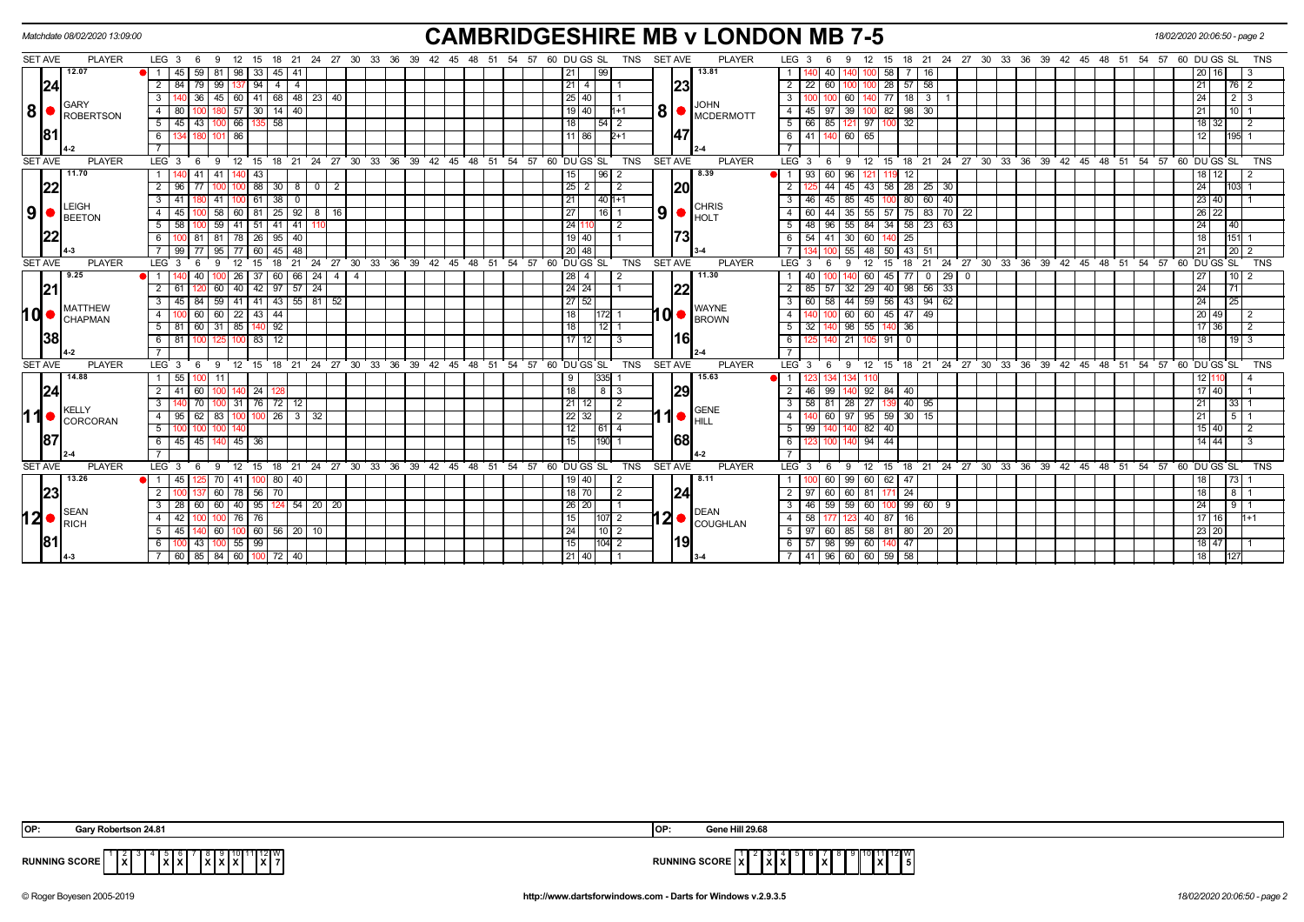|                                      | Matchdate 08/02/2020 13:09:00 |                                                                                                     | <b>CAMBRIDGESHIRE MB v LONDON MB 7-5</b>                                                              | 18/02/2020 20:06:50 - page 2                                                                                                  |
|--------------------------------------|-------------------------------|-----------------------------------------------------------------------------------------------------|-------------------------------------------------------------------------------------------------------|-------------------------------------------------------------------------------------------------------------------------------|
| <b>SET AVE</b>                       | <b>PLAYER</b>                 | 24 27 30 33 36 39 42 45 48 51<br>$LEG_36$<br>18 21<br>12<br>15<br>- 9                               | 54 57 60 DU GS SL<br>TNS<br><b>SET AVE</b><br><b>PLAYER</b>                                           | LEG <sub>3</sub><br>18 21 24 27 30 33 36 39 42 45 48 51 54<br>57 60 DU GS SL<br><b>TNS</b><br>- 15                            |
|                                      | 12.07                         | 59<br>81<br>$45 \mid 41$<br>$\blacksquare$<br>45<br>98<br>33                                        | 13.81<br>  21                                                                                         | 58<br>16<br>40                                                                                                                |
| 24                                   |                               | 99<br>94<br>$\overline{4}$<br>2<br>84                                                               | 23 <br> 21 4                                                                                          | 28<br>58<br>57<br>$\overline{2}$<br>22<br>$\overline{2}$<br>76 I                                                              |
|                                      | GARY                          | $141$ 68 48 23 40<br>45<br>3<br>60<br>36                                                            | 25 40 <br><b>JOHN</b>                                                                                 | $\overline{77}$<br>$2 \mid 3$<br>18 3 1<br>24<br>$3^{\circ}$<br>60                                                            |
| 8 <br>$\bullet$                      | ROBERTSON                     | 14<br>40<br>4<br>57                                                                                 | <b>8</b><br>19 40<br>$h+1$<br>$\blacksquare$ MCDERMOTT                                                | 98<br>$\overline{4}$<br>39<br>82<br>30<br>21<br>10 <sup>1</sup><br>45                                                         |
|                                      |                               | 58<br>5<br>$45$   43<br>66                                                                          | $\overline{118}$<br>  54   2                                                                          | $5 \mid 66$<br>32<br>85<br>97 I<br>18 <sup>1</sup><br>$\overline{2}$<br>32<br>121                                             |
| 81                                   |                               | 6<br>86                                                                                             | 47<br>11 86<br>$2+1$                                                                                  | 6   41<br>60  <br>65<br>12<br>195                                                                                             |
|                                      |                               |                                                                                                     |                                                                                                       |                                                                                                                               |
| <b>SET AVE</b>                       | <b>PLAYER</b>                 | LEG <sub>3</sub><br>18 21 24 27 30 33 36<br>12<br>15<br>- 6<br>9                                    | $39 \t 42 \t 45 \t 48$<br>51 54 57 60 DUGS SL<br><b>TNS</b><br><b>SET AVE</b><br><b>PLAYER</b>        | LEG <sup>3</sup><br>18 21 24 27 30 33 36 39 42 45 48 51<br>$54$ $57$ 60 DU GS SL<br><b>TNS</b><br>9<br>12<br>15<br>6          |
|                                      | 11.70                         | 41<br>$\mathbf{1}$<br>41<br>43                                                                      | 8.39<br> 15 <br> 96 2                                                                                 | 93<br>60<br>96<br>12<br>12                                                                                                    |
| 22                                   |                               | $\overline{2}$<br>88<br>30<br>$0 \mid 2$<br>- 8                                                     | 20 <br> 25 <br>$\overline{2}$                                                                         | 44<br>43<br>58<br>28 25 30<br>24<br>45                                                                                        |
|                                      | LEIGH                         | 38<br>3<br>41                                                                                       | 21<br>$40h+1$<br><b>CHRIS</b>                                                                         | 60<br>40<br>23 40<br>$\mathbf{3}$<br>45<br>45<br>80<br>46<br>-85                                                              |
| 9                                    | <b>BEETON</b>                 | 58<br>$25 \mid 92 \mid 8 \mid 16$<br>$\overline{4}$<br>60   81  <br>45                              | 9 <sub>l</sub><br> 27 <br>$16$   1<br><b>HOLT</b>                                                     | $55$ 57<br>75 83 70 22<br>26 22<br>44<br>4<br>60<br>$35 \mid$                                                                 |
|                                      |                               | 5<br>59<br>$41 \mid 41$<br>58<br>-51                                                                | 24 <br>-2                                                                                             | 34<br>58<br>23 63<br>24<br>5<br>96<br>84 I<br>40<br>48<br>55                                                                  |
|                                      |                               | -6<br>$95 \mid 40$<br>81<br>78   26                                                                 | 73<br> 19 40                                                                                          | 54 41 30<br>151<br>60 I<br>25<br>18<br>6 I                                                                                    |
|                                      |                               | 95<br>45<br>48<br>99                                                                                | 20 48                                                                                                 | 20<br>55<br>43<br>21<br>48                                                                                                    |
| <b>SET AVE</b>                       | <b>PLAYER</b>                 | LEG <sub>3</sub><br>27<br>21<br>24<br>18                                                            | 30 33 36 39 42 45 48 51 54 57 60 DUGS SL<br>TNS<br><b>SET AVE</b><br><b>PLAYER</b>                    | 27 30 33 36 39 42 45 48 51 54 57 60 DUGS SL<br>24<br><b>TNS</b><br>LEG <sub>3</sub><br>18<br>21<br>15                         |
|                                      | 9.25                          | 60<br>66   24  <br>26<br>4                                                                          | 11.30<br>$28$   4<br>2                                                                                | 10<br>60<br>45<br>29<br>27<br>$\mathbf{0}$<br>$\overline{0}$                                                                  |
| 21                                   |                               | $\overline{2}$<br>60<br>40 42 97 57 24                                                              | 22                                                                                                    | $98 \mid 56 \mid 33$<br>29 40<br>24<br>71<br>2 I<br>57<br>l 32 l                                                              |
|                                      | <b>MATTHEW</b>                | 41 43 55 81 52<br>$\overline{\mathbf{3}}$<br>59<br>41                                               | 27 52<br><b>WAYNE</b>                                                                                 | 59 56<br>$143$ 94 62<br>3<br>58<br>44<br>$\overline{24}$<br>25                                                                |
| 1d•                                  | <b>CHAPMAN</b>                | $\overline{4}$<br>60<br>$\overline{22}$<br>43<br>44<br>60                                           | $10$ $\bullet$ $\beta$ $\beta$ $\beta$ $\beta$ $\beta$ $\beta$<br>$\overline{18}$<br>11721 1          | 60<br>60<br>45<br>$47 \mid 49$<br>20<br>49<br>$\overline{4}$<br>2                                                             |
|                                      |                               | $140$ 92<br>5 <sup>7</sup><br>31<br>85<br>81<br>60                                                  | 18<br>$12$ 1                                                                                          | 98 <br>36<br>$5 \mid 32$<br>55<br>17<br>36                                                                                    |
| 38                                   |                               | 12<br>6<br>81<br>83                                                                                 | 16 <br>17 12<br>l 3                                                                                   | 6<br>21<br>91<br>$\Omega$<br>18<br>$19 \mid 3$                                                                                |
|                                      |                               |                                                                                                     |                                                                                                       |                                                                                                                               |
| <b>SET AVE</b>                       | <b>PLAYER</b>                 | 30 <sup>°</sup><br>33 36<br>$39^{\circ}$<br>LEG <sub>3</sub><br>12<br>ີ 15<br>$18$ 21<br>24 27<br>9 | $-48$<br>51<br>54 57<br>60 DU GS SL<br><b>TNS</b><br><b>SET AVE</b><br><b>PLAYER</b><br>$42 \quad 45$ | $LEG^3$ 3<br>$24$ 27 30 33<br>36 39<br><b>TNS</b><br>12<br>15<br>18<br>21<br>42 45 48<br>51<br>54<br>57<br>60 DU GS SL<br>-9  |
|                                      | 14.88                         | 55                                                                                                  | 15.63<br>9                                                                                            |                                                                                                                               |
| 24                                   |                               | 41<br>l 24<br>- 60                                                                                  | 29 <br> 18 <br>813                                                                                    | 92 84<br>2 <sup>1</sup><br>99<br>40<br>17 40<br>46                                                                            |
|                                      | KELLY                         | $\overline{3}$<br>31   76                                                                           | 21 12 <br>$\overline{2}$<br><b>GENE</b>                                                               | 27<br>$3^{\circ}$<br>58<br>l 81 I 28 I<br>40   95<br>21<br>33 I                                                               |
| 11●                                  | CORCORAN                      | 26<br>$\overline{4}$<br>95<br>l 62<br>83<br>$\mathbf{3}$<br>l 32                                    | $22 \mid 32$<br>$\overline{2}$                                                                        | $95 \ 59$<br>$30 \mid 15$<br>$\overline{4}$<br>60<br>97<br>21                                                                 |
|                                      |                               | 5<br>100                                                                                            | 12<br>  61   4<br>68                                                                                  | $82 \overline{40}$<br>99<br>-5 I<br>$15 \ 40$<br>2                                                                            |
| 87                                   |                               | 6<br>$45 \mid 45$<br>140<br>$45 \mid 36$                                                            | 190<br>15                                                                                             | $94$ 44<br>14 44<br>6<br>3<br>100                                                                                             |
| <b>SET AVE</b>                       |                               |                                                                                                     |                                                                                                       | $\overline{7}$                                                                                                                |
|                                      | <b>PLAYER</b><br>13.26        | LEG <sub>3</sub><br>18 21 24 27 30 33 36 39 42 45<br>12<br>15<br>9                                  | 60 DU GS SL<br><b>TNS</b><br><b>SET AVE</b><br><b>PLAYER</b><br>48<br>51<br>57<br>54<br>8.11          | LEG <sub>3</sub><br>15 18 21 24 27 30 33 36 39 42 45 48<br><b>TNS</b><br>12<br>54<br>57<br>60<br>DU GS SL<br>- 9<br>51<br>- 6 |
|                                      |                               | 80<br>$\overline{1}$<br>70<br>40<br>60 78 56                                                        | 19   40<br> 18 70                                                                                     | 60<br>62<br>60<br>99<br>-47<br><b>73</b><br>8 <sup>1</sup><br>171 24                                                          |
| 23                                   |                               | 70<br>60<br>124 54 20 20<br>3<br>40   95<br>28                                                      | 24<br>$\sqrt{2}$<br> 26 20                                                                            | 18<br>$2 \mid 97$<br>60<br>60 81<br>99<br>59<br>60<br>24<br>60 I<br>3<br>46<br>- 9<br>91                                      |
|                                      | <b>SEAN</b>                   |                                                                                                     | <b>DEAN</b>                                                                                           | 59<br>40 87                                                                                                                   |
| $12 \bullet  _{\sf RICH}^{\sf SEAN}$ |                               | $\overline{4}$<br>42<br>76   76<br>100<br>$56$   20   10<br>5<br>45                                 | $12 \bullet  _{\text{COUGHLAN}}$<br> 15 <br>$ 107 $ 2<br> 24 <br> 10 2                                | 4 I<br>58<br>17116<br>16<br>$H+1$<br>$58$ $81$                                                                                |
| <b>81</b>                            |                               | 60<br>  60                                                                                          | 19 <br>$\frac{104}{2}$                                                                                | 23 20<br>5   97<br>85<br>$80$   20   20<br>60                                                                                 |
|                                      |                               | $100$ 55   99<br>$100$ 43<br>6                                                                      | 15                                                                                                    | $6$ 57 98 99 60 140 47<br>18 47                                                                                               |
|                                      |                               | 60   85   84   60   100   72   40                                                                   | 21 40                                                                                                 | 7 41 96 60 60 59 58<br>18<br>127                                                                                              |

| Robertson 24.81<br>IOP:                                                                                   | <b>LED 20.00</b><br>ז שו                                                                                                                       |
|-----------------------------------------------------------------------------------------------------------|------------------------------------------------------------------------------------------------------------------------------------------------|
| 10 11 12 I W<br>$\mathbf{ \hat{x} }$<br><b>RUNNING SCORE</b><br> X X <br>.<br>.<br><b>IXI7</b><br>IXIXIXI | 12 I W<br>15. ISBN<br>.<br>1xI<br><b>SUNNING SCORE IAT</b><br>1 X I<br> X X <br>ו ט<br>$\sim$ $\sim$ $\sim$ $\sim$ $\sim$ $\sim$ $\sim$ $\sim$ |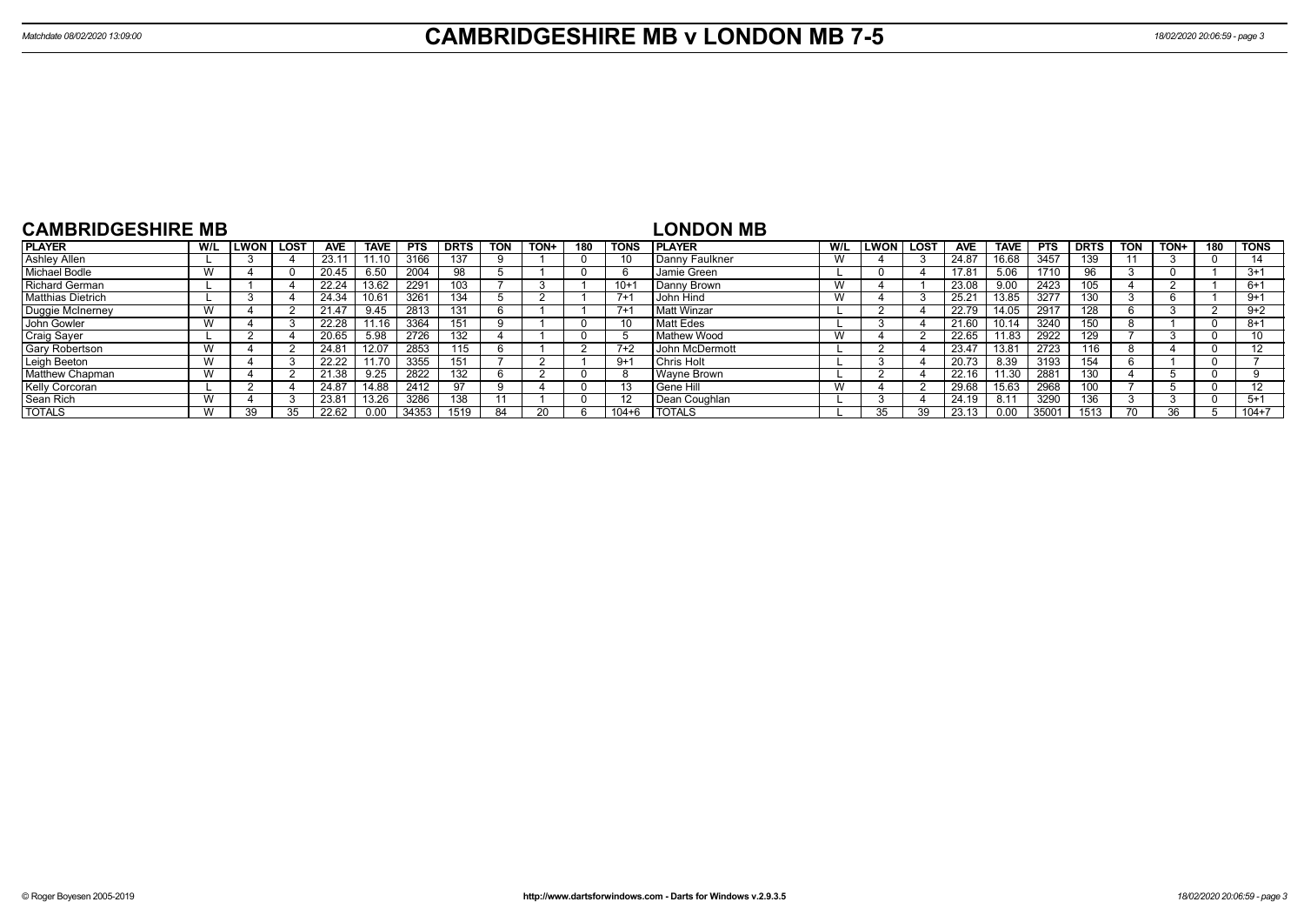| <b>CAMBRIDGESHIRE MB</b> |     |              |             |                    |             |            |             |            |      |     |             | <b>LONDON MB</b> |     |             |        |            |             |            |             |            |      |     |                   |
|--------------------------|-----|--------------|-------------|--------------------|-------------|------------|-------------|------------|------|-----|-------------|------------------|-----|-------------|--------|------------|-------------|------------|-------------|------------|------|-----|-------------------|
| <b>PLAYER</b>            | W/L | <b>ILWON</b> | <b>LOST</b> | <b>AVE</b>         | <b>TAVE</b> | <b>PTS</b> | <b>DRTS</b> | <b>TON</b> | TON+ | 180 | <b>TONS</b> | <b>I PLAYER</b>  | W/L | <b>LWON</b> | l LOST | <b>AVE</b> | <b>TAVE</b> | <b>PTS</b> | <b>DRTS</b> | <b>TON</b> | TON+ | 180 | <b>TONS</b>       |
| <b>Ashley Allen</b>      |     |              |             | 23.11              | 11.10       | 3166       | 137         |            |      |     |             | l Danny Faulkner | W   |             |        | 24.87      | 16.68       | 3457       | 139         |            |      |     |                   |
| <b>Michael Bodle</b>     |     |              |             | 20.45              | 6.50        | 2004       | 98          |            |      |     | b           | Jamie Green      |     |             |        | 17.81      | 5.06        | 1710       | 96          |            |      |     | $3+1$             |
| <b>Richard German</b>    |     |              |             | 22.24              | 13.62       | 2291       | 103         |            |      |     | $10+$       | Danny Brown      | W   |             |        | 23.08      | 9.00        | 2423       | 105         |            |      |     | $6+1$             |
| <b>Matthias Dietrich</b> |     |              |             | 24.34              |             | 3261       | 134         |            |      |     | $7+1$       | John Hind        | W   |             |        | 25.21      | 13.85       | 3277       | 130         |            |      |     | $9+1$             |
| Duggie McInerney         |     |              |             | 21.47              | 9.45        | 2813       | 13'         |            |      |     | $7+1$       | Matt Winzar      |     |             |        | 22.79      | 14.05       | 2917       | 128         |            |      |     | $9+2$             |
| John Gowler              |     |              |             | $22.\overline{28}$ | 11.16       | 3364       | 151         |            |      |     |             | Matt Edes        |     |             |        | 21.60      | 10.14       | 3240       | 150         |            |      |     | $8 + 1$           |
| <b>Craig Sayer</b>       |     |              |             | 20.65              | 5.98        | 2726       | 132         |            |      |     |             | Mathew Wood      | W   |             |        | 22.65      | 11.83       | 2922       | 29          |            |      |     | 10                |
| Gary Robertson           |     |              |             | 24.81              | 12.07       | 2853       | 115         |            |      |     | $7+2$       | l John McDermott |     |             |        | 23.47      | 13.81       | 2723       | 116         |            |      |     | 12                |
| Leigh Beeton             |     |              |             | 22.22              | 11.70       | 3355       | 15'         |            |      |     | $9+1$       | l Chris Holt     |     |             |        | 20.73      | 8.39        | 3193       | 154         |            |      |     |                   |
| Matthew Chapman          |     |              |             | 21.38              | 9.25        | 2822       | 132         |            |      |     | 8           | Wavne Brown      |     |             |        | 22.16      | 11.30       | 2881       | 130         |            |      |     |                   |
| Kelly Corcoran           |     |              |             | 24.87              | 14.88       | 2412       | 97          |            |      |     |             | <b>Gene Hill</b> | W   |             |        | 29.68      | 15.63       | 2968       | IOO.        |            |      |     | $12 \overline{ }$ |
| Sean Rich                |     |              |             | 23.81              | 13.26       | 3286       | 138         |            |      |     |             | Dean Coughlan    |     |             |        | 24.19      | 8.1'        | 3290       | 136         |            |      |     | $5 + 1$           |
| <b>TOTALS</b>            |     | 39           | 35          | 22.62              | 0.00        | 34353      | 1519        |            |      |     | $104 + 6$   | <b>I TOTALS</b>  |     | 35          | 39     | 23.13      | 0.00        | 35001      | 1513        |            | 36   |     | $104 + 7$         |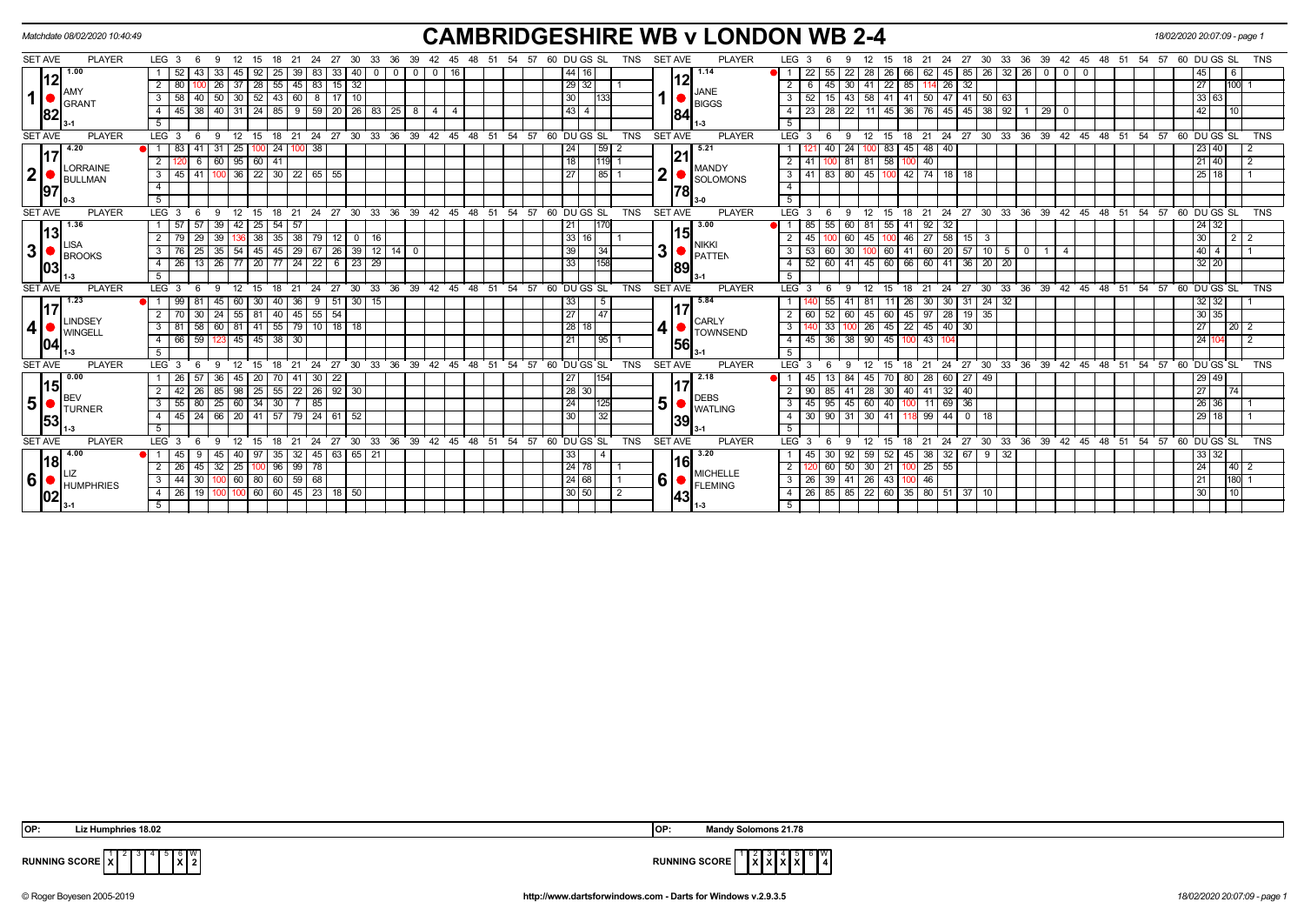| <b>SET AVE</b><br><b>PLAYER</b><br>LEG <sub>3</sub><br>60 DU GS SL<br><b>SET AVE</b><br><b>PLAYER</b><br>27<br>30<br>TNS<br>LEG <sub>3</sub><br>-9<br>12<br>-21<br>-24<br>33<br>-36<br>-54<br>-57<br>$ 44 $ 16<br>1.00<br>33<br>1.14<br>22<br>55<br>22<br>52<br>25<br>39<br>83<br>33<br>40<br>-28<br>0 <sup>1</sup><br>$^{\circ}$<br>$\overline{0}$<br>$^{\circ}$<br>12<br>29 32 <br>37   28   55   45   83   15   32<br>26<br>80<br>IAMY<br><b>JANE</b><br>$\mathbf{1}$<br>50<br>30   52   43   60   8   17   10<br>30<br>3<br>58<br>$\overline{40}$<br>$\mathbf{3}$<br>52<br>15 <sup>1</sup><br> 133 <br><b>BIGGS</b><br>GRANT<br> 43 <br>40<br>31   24   85   9   59   20   26   83   25   8  <br>23 28 22<br>38<br>- 11  <br>4<br>45<br>4<br>$\overline{4}$<br>$\overline{4}$<br>4<br> 82 <br>84<br>5<br>5<br>15 18 21 24 27 30 33 36 39 42 45 48 51 54 57 60 DUGS SL<br><b>TNS</b><br><b>SET AVE</b><br><b>PLAYER</b><br>LEG <sub>3</sub><br>-9<br>$^{\circ}$ 12<br><b>SET AVE</b><br><b>PLAYER</b><br>LEG 3<br>9<br>12<br>- 6<br>6<br>4.20<br>$100$ 24<br>$100 \ 38$<br>24<br>$\sqrt{59}$ 2<br>5.21<br>24<br>83<br>31<br>$\overline{25}$<br>40<br>117<br>60<br>95   60   41<br> 18 <br>$\overline{2}$<br>$\overline{2}$<br>100 81<br>81<br>$1119$ 1<br>41<br>6<br>LORRAINE<br><b>MANDY</b><br>$\mathbf{2} \vert$<br>$\overline{\mathbf{2}}$<br>$\overline{3}$<br>$100$ 36 22 30 22 65 55<br>27<br>$45$ 41<br> 85 1<br>$\overline{\mathbf{3}}$<br>41<br>BULLMAN<br><b>SOLOMONS</b><br>$\overline{4}$<br>$\overline{4}$<br>97<br>78<br>5<br>$-5$<br><b>SET AVE</b><br><b>PLAYER</b><br>27 30 33 36 39 42 45 48 51 54 57 60 DUGS SL<br><b>TNS</b><br><b>SET AVE</b><br><b>PLAYER</b><br>LEG <sub>3</sub><br>12<br>21 24<br>LEG <sub>3</sub><br>12<br>9<br>15<br>18<br>9<br>3.00<br>1.36<br>$42$   25   54   57<br>$\vert$ 39<br> 21 <br>57 57<br>1170<br>11<br>85 I<br>-55  <br> 13 <br>15<br>33 16 <br>136 38 35 38 79<br>29<br>39<br>12 <sub>1</sub><br>16<br>45<br>60<br>45  <br>$\overline{\phantom{0}}$ 0 $\overline{\phantom{0}}$<br>LISA<br><b>NIKKI</b><br>3 <sup>1</sup><br>3 <sup>1</sup><br>39<br>35<br>  54   45   45   29   67   26   39   12   14   0<br>$3^{\circ}$<br> 34 <br>$\mathbf{3}$<br>53<br>30<br>25<br>60 I<br><b>BROOKS</b><br>PATTEN<br>33<br>$\sqrt{26}$<br>  77   20   77   24   22   6<br>23 29<br>158<br>$52$ 60 $\overline{41}$<br>26 13<br>4<br>$\overline{4}$<br>89<br> 03 <br>-5<br>54<br>TNS<br><b>SET AVE</b><br><b>PLAYER</b><br>$33 \quad 36$<br>$39 \quad 42$<br>ີ 45<br>ີ 48<br>51<br>57<br>60 DU GS SL<br><b>SET AVE</b><br><b>PLAYER</b><br>LEG <sub>3</sub><br>24<br>27<br>$30^{\circ}$<br>LEG <sub>3</sub><br>12<br>18<br>21<br>12<br>1.23<br>5.84<br>33<br>$9 \mid 51$<br>$30 \mid 15$<br>40<br>36<br>5<br>45<br>117<br>$\overline{27}$<br>$45$ 55 54<br>24<br>40<br> 47 <br>30<br>55<br>$\sqrt{81}$<br>2<br>52<br>60<br>45<br>60<br>LINDSEY<br><b>CARLY</b><br>4<br>4<br>28 18<br>81 41 55 79 10 18 18<br>3<br>58<br>60<br>$\overline{\mathbf{3}}$<br>33<br>26<br>81<br><b>TOWNSEND</b><br><b>WINGELL</b><br>59<br>$145$   45   38  <br>21<br> 95 1<br>45 36 38 90<br>66<br>$\overline{4}$<br>123<br>30<br>$\overline{4}$<br>56<br> 04 <br>-5 | 27<br>33<br>36<br>60 DU GS SL<br><b>TNS</b><br>- 24<br>30<br>39<br>-54<br>57<br>-21<br>45<br>32<br>26<br>62 I<br>45<br>85   26  <br>26<br>45<br>$\sqrt{6}$<br>6   45   30   41   22   85   114   26   32<br>27<br>100<br>33 63<br>  43   58   41   41   50   47   41   50   63<br>45   36   76   45   45   38   92  <br>$29 \ 0$<br>42<br>10<br>-1<br>15 18 21 24 27 30 33 36 39 42 45 48 51 54 57 60 DUGS SL<br>TNS<br>83 45 48 40<br>23 40<br>58<br>$\overline{140}$<br>$21 \overline{40}$<br>100<br>  83   80   45   100   42   74   18   18<br>25 18<br>18 21 24 27 30 33 36 39 42 45 48 51 54 57 60 DUGS SL<br>TNS<br>15<br>$92 \overline{32}$<br>24 32<br>60 81 55 41<br>46   27   58   15   3<br>30 <sup>°</sup><br>2 2<br>  60   20   57   10   5  <br>$40 \overline{4}$<br>$60 \mid 41$<br>$\mathbf{0}$<br>1   4<br>$32 \mid 20$<br>45 60 66 60 41 36 20 20 |
|-------------------------------------------------------------------------------------------------------------------------------------------------------------------------------------------------------------------------------------------------------------------------------------------------------------------------------------------------------------------------------------------------------------------------------------------------------------------------------------------------------------------------------------------------------------------------------------------------------------------------------------------------------------------------------------------------------------------------------------------------------------------------------------------------------------------------------------------------------------------------------------------------------------------------------------------------------------------------------------------------------------------------------------------------------------------------------------------------------------------------------------------------------------------------------------------------------------------------------------------------------------------------------------------------------------------------------------------------------------------------------------------------------------------------------------------------------------------------------------------------------------------------------------------------------------------------------------------------------------------------------------------------------------------------------------------------------------------------------------------------------------------------------------------------------------------------------------------------------------------------------------------------------------------------------------------------------------------------------------------------------------------------------------------------------------------------------------------------------------------------------------------------------------------------------------------------------------------------------------------------------------------------------------------------------------------------------------------------------------------------------------------------------------------------------------------------------------------------------------------------------------------------------------------------------------------------------------------------------------------------------------------------------------------------------------------------------------------------------------------------------------------------------------------------------------------------------------------------------------------------------------------------------------------------------------------------------------------------------------------------------------------------------------------------------------------------------------------------------------------------------------------------------------------------------------------------|----------------------------------------------------------------------------------------------------------------------------------------------------------------------------------------------------------------------------------------------------------------------------------------------------------------------------------------------------------------------------------------------------------------------------------------------------------------------------------------------------------------------------------------------------------------------------------------------------------------------------------------------------------------------------------------------------------------------------------------------------------------------------------------------------------------------------------------------------------------------|
|                                                                                                                                                                                                                                                                                                                                                                                                                                                                                                                                                                                                                                                                                                                                                                                                                                                                                                                                                                                                                                                                                                                                                                                                                                                                                                                                                                                                                                                                                                                                                                                                                                                                                                                                                                                                                                                                                                                                                                                                                                                                                                                                                                                                                                                                                                                                                                                                                                                                                                                                                                                                                                                                                                                                                                                                                                                                                                                                                                                                                                                                                                                                                                                                 |                                                                                                                                                                                                                                                                                                                                                                                                                                                                                                                                                                                                                                                                                                                                                                                                                                                                      |
|                                                                                                                                                                                                                                                                                                                                                                                                                                                                                                                                                                                                                                                                                                                                                                                                                                                                                                                                                                                                                                                                                                                                                                                                                                                                                                                                                                                                                                                                                                                                                                                                                                                                                                                                                                                                                                                                                                                                                                                                                                                                                                                                                                                                                                                                                                                                                                                                                                                                                                                                                                                                                                                                                                                                                                                                                                                                                                                                                                                                                                                                                                                                                                                                 |                                                                                                                                                                                                                                                                                                                                                                                                                                                                                                                                                                                                                                                                                                                                                                                                                                                                      |
|                                                                                                                                                                                                                                                                                                                                                                                                                                                                                                                                                                                                                                                                                                                                                                                                                                                                                                                                                                                                                                                                                                                                                                                                                                                                                                                                                                                                                                                                                                                                                                                                                                                                                                                                                                                                                                                                                                                                                                                                                                                                                                                                                                                                                                                                                                                                                                                                                                                                                                                                                                                                                                                                                                                                                                                                                                                                                                                                                                                                                                                                                                                                                                                                 |                                                                                                                                                                                                                                                                                                                                                                                                                                                                                                                                                                                                                                                                                                                                                                                                                                                                      |
|                                                                                                                                                                                                                                                                                                                                                                                                                                                                                                                                                                                                                                                                                                                                                                                                                                                                                                                                                                                                                                                                                                                                                                                                                                                                                                                                                                                                                                                                                                                                                                                                                                                                                                                                                                                                                                                                                                                                                                                                                                                                                                                                                                                                                                                                                                                                                                                                                                                                                                                                                                                                                                                                                                                                                                                                                                                                                                                                                                                                                                                                                                                                                                                                 |                                                                                                                                                                                                                                                                                                                                                                                                                                                                                                                                                                                                                                                                                                                                                                                                                                                                      |
|                                                                                                                                                                                                                                                                                                                                                                                                                                                                                                                                                                                                                                                                                                                                                                                                                                                                                                                                                                                                                                                                                                                                                                                                                                                                                                                                                                                                                                                                                                                                                                                                                                                                                                                                                                                                                                                                                                                                                                                                                                                                                                                                                                                                                                                                                                                                                                                                                                                                                                                                                                                                                                                                                                                                                                                                                                                                                                                                                                                                                                                                                                                                                                                                 |                                                                                                                                                                                                                                                                                                                                                                                                                                                                                                                                                                                                                                                                                                                                                                                                                                                                      |
|                                                                                                                                                                                                                                                                                                                                                                                                                                                                                                                                                                                                                                                                                                                                                                                                                                                                                                                                                                                                                                                                                                                                                                                                                                                                                                                                                                                                                                                                                                                                                                                                                                                                                                                                                                                                                                                                                                                                                                                                                                                                                                                                                                                                                                                                                                                                                                                                                                                                                                                                                                                                                                                                                                                                                                                                                                                                                                                                                                                                                                                                                                                                                                                                 |                                                                                                                                                                                                                                                                                                                                                                                                                                                                                                                                                                                                                                                                                                                                                                                                                                                                      |
|                                                                                                                                                                                                                                                                                                                                                                                                                                                                                                                                                                                                                                                                                                                                                                                                                                                                                                                                                                                                                                                                                                                                                                                                                                                                                                                                                                                                                                                                                                                                                                                                                                                                                                                                                                                                                                                                                                                                                                                                                                                                                                                                                                                                                                                                                                                                                                                                                                                                                                                                                                                                                                                                                                                                                                                                                                                                                                                                                                                                                                                                                                                                                                                                 |                                                                                                                                                                                                                                                                                                                                                                                                                                                                                                                                                                                                                                                                                                                                                                                                                                                                      |
|                                                                                                                                                                                                                                                                                                                                                                                                                                                                                                                                                                                                                                                                                                                                                                                                                                                                                                                                                                                                                                                                                                                                                                                                                                                                                                                                                                                                                                                                                                                                                                                                                                                                                                                                                                                                                                                                                                                                                                                                                                                                                                                                                                                                                                                                                                                                                                                                                                                                                                                                                                                                                                                                                                                                                                                                                                                                                                                                                                                                                                                                                                                                                                                                 |                                                                                                                                                                                                                                                                                                                                                                                                                                                                                                                                                                                                                                                                                                                                                                                                                                                                      |
|                                                                                                                                                                                                                                                                                                                                                                                                                                                                                                                                                                                                                                                                                                                                                                                                                                                                                                                                                                                                                                                                                                                                                                                                                                                                                                                                                                                                                                                                                                                                                                                                                                                                                                                                                                                                                                                                                                                                                                                                                                                                                                                                                                                                                                                                                                                                                                                                                                                                                                                                                                                                                                                                                                                                                                                                                                                                                                                                                                                                                                                                                                                                                                                                 |                                                                                                                                                                                                                                                                                                                                                                                                                                                                                                                                                                                                                                                                                                                                                                                                                                                                      |
|                                                                                                                                                                                                                                                                                                                                                                                                                                                                                                                                                                                                                                                                                                                                                                                                                                                                                                                                                                                                                                                                                                                                                                                                                                                                                                                                                                                                                                                                                                                                                                                                                                                                                                                                                                                                                                                                                                                                                                                                                                                                                                                                                                                                                                                                                                                                                                                                                                                                                                                                                                                                                                                                                                                                                                                                                                                                                                                                                                                                                                                                                                                                                                                                 |                                                                                                                                                                                                                                                                                                                                                                                                                                                                                                                                                                                                                                                                                                                                                                                                                                                                      |
|                                                                                                                                                                                                                                                                                                                                                                                                                                                                                                                                                                                                                                                                                                                                                                                                                                                                                                                                                                                                                                                                                                                                                                                                                                                                                                                                                                                                                                                                                                                                                                                                                                                                                                                                                                                                                                                                                                                                                                                                                                                                                                                                                                                                                                                                                                                                                                                                                                                                                                                                                                                                                                                                                                                                                                                                                                                                                                                                                                                                                                                                                                                                                                                                 |                                                                                                                                                                                                                                                                                                                                                                                                                                                                                                                                                                                                                                                                                                                                                                                                                                                                      |
|                                                                                                                                                                                                                                                                                                                                                                                                                                                                                                                                                                                                                                                                                                                                                                                                                                                                                                                                                                                                                                                                                                                                                                                                                                                                                                                                                                                                                                                                                                                                                                                                                                                                                                                                                                                                                                                                                                                                                                                                                                                                                                                                                                                                                                                                                                                                                                                                                                                                                                                                                                                                                                                                                                                                                                                                                                                                                                                                                                                                                                                                                                                                                                                                 |                                                                                                                                                                                                                                                                                                                                                                                                                                                                                                                                                                                                                                                                                                                                                                                                                                                                      |
|                                                                                                                                                                                                                                                                                                                                                                                                                                                                                                                                                                                                                                                                                                                                                                                                                                                                                                                                                                                                                                                                                                                                                                                                                                                                                                                                                                                                                                                                                                                                                                                                                                                                                                                                                                                                                                                                                                                                                                                                                                                                                                                                                                                                                                                                                                                                                                                                                                                                                                                                                                                                                                                                                                                                                                                                                                                                                                                                                                                                                                                                                                                                                                                                 |                                                                                                                                                                                                                                                                                                                                                                                                                                                                                                                                                                                                                                                                                                                                                                                                                                                                      |
|                                                                                                                                                                                                                                                                                                                                                                                                                                                                                                                                                                                                                                                                                                                                                                                                                                                                                                                                                                                                                                                                                                                                                                                                                                                                                                                                                                                                                                                                                                                                                                                                                                                                                                                                                                                                                                                                                                                                                                                                                                                                                                                                                                                                                                                                                                                                                                                                                                                                                                                                                                                                                                                                                                                                                                                                                                                                                                                                                                                                                                                                                                                                                                                                 |                                                                                                                                                                                                                                                                                                                                                                                                                                                                                                                                                                                                                                                                                                                                                                                                                                                                      |
|                                                                                                                                                                                                                                                                                                                                                                                                                                                                                                                                                                                                                                                                                                                                                                                                                                                                                                                                                                                                                                                                                                                                                                                                                                                                                                                                                                                                                                                                                                                                                                                                                                                                                                                                                                                                                                                                                                                                                                                                                                                                                                                                                                                                                                                                                                                                                                                                                                                                                                                                                                                                                                                                                                                                                                                                                                                                                                                                                                                                                                                                                                                                                                                                 |                                                                                                                                                                                                                                                                                                                                                                                                                                                                                                                                                                                                                                                                                                                                                                                                                                                                      |
|                                                                                                                                                                                                                                                                                                                                                                                                                                                                                                                                                                                                                                                                                                                                                                                                                                                                                                                                                                                                                                                                                                                                                                                                                                                                                                                                                                                                                                                                                                                                                                                                                                                                                                                                                                                                                                                                                                                                                                                                                                                                                                                                                                                                                                                                                                                                                                                                                                                                                                                                                                                                                                                                                                                                                                                                                                                                                                                                                                                                                                                                                                                                                                                                 |                                                                                                                                                                                                                                                                                                                                                                                                                                                                                                                                                                                                                                                                                                                                                                                                                                                                      |
|                                                                                                                                                                                                                                                                                                                                                                                                                                                                                                                                                                                                                                                                                                                                                                                                                                                                                                                                                                                                                                                                                                                                                                                                                                                                                                                                                                                                                                                                                                                                                                                                                                                                                                                                                                                                                                                                                                                                                                                                                                                                                                                                                                                                                                                                                                                                                                                                                                                                                                                                                                                                                                                                                                                                                                                                                                                                                                                                                                                                                                                                                                                                                                                                 |                                                                                                                                                                                                                                                                                                                                                                                                                                                                                                                                                                                                                                                                                                                                                                                                                                                                      |
|                                                                                                                                                                                                                                                                                                                                                                                                                                                                                                                                                                                                                                                                                                                                                                                                                                                                                                                                                                                                                                                                                                                                                                                                                                                                                                                                                                                                                                                                                                                                                                                                                                                                                                                                                                                                                                                                                                                                                                                                                                                                                                                                                                                                                                                                                                                                                                                                                                                                                                                                                                                                                                                                                                                                                                                                                                                                                                                                                                                                                                                                                                                                                                                                 |                                                                                                                                                                                                                                                                                                                                                                                                                                                                                                                                                                                                                                                                                                                                                                                                                                                                      |
|                                                                                                                                                                                                                                                                                                                                                                                                                                                                                                                                                                                                                                                                                                                                                                                                                                                                                                                                                                                                                                                                                                                                                                                                                                                                                                                                                                                                                                                                                                                                                                                                                                                                                                                                                                                                                                                                                                                                                                                                                                                                                                                                                                                                                                                                                                                                                                                                                                                                                                                                                                                                                                                                                                                                                                                                                                                                                                                                                                                                                                                                                                                                                                                                 | 48 51 54 57 60 DU GS SL<br>30 33 36 39 42 45<br><b>TNS</b><br>$^{\circ}$ 24<br>27<br>18<br>21<br>15                                                                                                                                                                                                                                                                                                                                                                                                                                                                                                                                                                                                                                                                                                                                                                  |
|                                                                                                                                                                                                                                                                                                                                                                                                                                                                                                                                                                                                                                                                                                                                                                                                                                                                                                                                                                                                                                                                                                                                                                                                                                                                                                                                                                                                                                                                                                                                                                                                                                                                                                                                                                                                                                                                                                                                                                                                                                                                                                                                                                                                                                                                                                                                                                                                                                                                                                                                                                                                                                                                                                                                                                                                                                                                                                                                                                                                                                                                                                                                                                                                 | 31<br>$24 \overline{32}$<br>32 32<br>26<br>30<br>30                                                                                                                                                                                                                                                                                                                                                                                                                                                                                                                                                                                                                                                                                                                                                                                                                  |
|                                                                                                                                                                                                                                                                                                                                                                                                                                                                                                                                                                                                                                                                                                                                                                                                                                                                                                                                                                                                                                                                                                                                                                                                                                                                                                                                                                                                                                                                                                                                                                                                                                                                                                                                                                                                                                                                                                                                                                                                                                                                                                                                                                                                                                                                                                                                                                                                                                                                                                                                                                                                                                                                                                                                                                                                                                                                                                                                                                                                                                                                                                                                                                                                 | 60<br>45 97 28 19 35<br>30 35                                                                                                                                                                                                                                                                                                                                                                                                                                                                                                                                                                                                                                                                                                                                                                                                                                        |
|                                                                                                                                                                                                                                                                                                                                                                                                                                                                                                                                                                                                                                                                                                                                                                                                                                                                                                                                                                                                                                                                                                                                                                                                                                                                                                                                                                                                                                                                                                                                                                                                                                                                                                                                                                                                                                                                                                                                                                                                                                                                                                                                                                                                                                                                                                                                                                                                                                                                                                                                                                                                                                                                                                                                                                                                                                                                                                                                                                                                                                                                                                                                                                                                 | 45 22 45 40 30<br>27<br>$\overline{20}$                                                                                                                                                                                                                                                                                                                                                                                                                                                                                                                                                                                                                                                                                                                                                                                                                              |
|                                                                                                                                                                                                                                                                                                                                                                                                                                                                                                                                                                                                                                                                                                                                                                                                                                                                                                                                                                                                                                                                                                                                                                                                                                                                                                                                                                                                                                                                                                                                                                                                                                                                                                                                                                                                                                                                                                                                                                                                                                                                                                                                                                                                                                                                                                                                                                                                                                                                                                                                                                                                                                                                                                                                                                                                                                                                                                                                                                                                                                                                                                                                                                                                 | 45<br>24 10<br>$\overline{1}$ 43<br>100                                                                                                                                                                                                                                                                                                                                                                                                                                                                                                                                                                                                                                                                                                                                                                                                                              |
|                                                                                                                                                                                                                                                                                                                                                                                                                                                                                                                                                                                                                                                                                                                                                                                                                                                                                                                                                                                                                                                                                                                                                                                                                                                                                                                                                                                                                                                                                                                                                                                                                                                                                                                                                                                                                                                                                                                                                                                                                                                                                                                                                                                                                                                                                                                                                                                                                                                                                                                                                                                                                                                                                                                                                                                                                                                                                                                                                                                                                                                                                                                                                                                                 |                                                                                                                                                                                                                                                                                                                                                                                                                                                                                                                                                                                                                                                                                                                                                                                                                                                                      |
| $39 \quad 42$<br>54<br><b>TNS</b><br><b>SET AVE</b><br><b>PLAYER</b><br>LEG <sub>3</sub><br>24<br>27<br>30 33 36<br>45<br>48<br>51<br>57<br>60 DU GS SL<br><b>SET AVE</b><br><b>PLAYER</b><br>LEG <sup>'</sup><br>12<br>15<br>18<br>21<br>12<br>q<br>Q                                                                                                                                                                                                                                                                                                                                                                                                                                                                                                                                                                                                                                                                                                                                                                                                                                                                                                                                                                                                                                                                                                                                                                                                                                                                                                                                                                                                                                                                                                                                                                                                                                                                                                                                                                                                                                                                                                                                                                                                                                                                                                                                                                                                                                                                                                                                                                                                                                                                                                                                                                                                                                                                                                                                                                                                                                                                                                                                          | 30 33 36<br>39 42 45<br>$-54$<br>24<br>27<br>48 51<br>57<br>60 DU GS SL<br><b>TNS</b><br>15<br>18<br>21                                                                                                                                                                                                                                                                                                                                                                                                                                                                                                                                                                                                                                                                                                                                                              |
| l 0.00<br>70 41 30 22<br>27<br> 154 <br>2.18<br>-26<br>36<br>20 <sub>1</sub><br>45<br>13 <sup>1</sup><br>84<br>45<br>45 I<br> 15 <br>17                                                                                                                                                                                                                                                                                                                                                                                                                                                                                                                                                                                                                                                                                                                                                                                                                                                                                                                                                                                                                                                                                                                                                                                                                                                                                                                                                                                                                                                                                                                                                                                                                                                                                                                                                                                                                                                                                                                                                                                                                                                                                                                                                                                                                                                                                                                                                                                                                                                                                                                                                                                                                                                                                                                                                                                                                                                                                                                                                                                                                                                         | 29 49<br>$60$   27   49<br>80<br> 28 <br>70 I                                                                                                                                                                                                                                                                                                                                                                                                                                                                                                                                                                                                                                                                                                                                                                                                                        |
| 28 30 <br>55<br>22 26 92 30<br>85<br>98<br>25 <sub>1</sub><br>85<br>41<br>28 I<br><b>BEV</b><br><b>DEBS</b>                                                                                                                                                                                                                                                                                                                                                                                                                                                                                                                                                                                                                                                                                                                                                                                                                                                                                                                                                                                                                                                                                                                                                                                                                                                                                                                                                                                                                                                                                                                                                                                                                                                                                                                                                                                                                                                                                                                                                                                                                                                                                                                                                                                                                                                                                                                                                                                                                                                                                                                                                                                                                                                                                                                                                                                                                                                                                                                                                                                                                                                                                     | 27<br>$30 \mid 40$<br> 41 32 40                                                                                                                                                                                                                                                                                                                                                                                                                                                                                                                                                                                                                                                                                                                                                                                                                                      |
| 5 <br>5<br>25<br>60 34 30 7 85<br>24<br> 45 <br>3<br>125<br>60<br>55<br>80<br>45<br>95<br><b>UNATLING</b><br><b>ITURNER</b>                                                                                                                                                                                                                                                                                                                                                                                                                                                                                                                                                                                                                                                                                                                                                                                                                                                                                                                                                                                                                                                                                                                                                                                                                                                                                                                                                                                                                                                                                                                                                                                                                                                                                                                                                                                                                                                                                                                                                                                                                                                                                                                                                                                                                                                                                                                                                                                                                                                                                                                                                                                                                                                                                                                                                                                                                                                                                                                                                                                                                                                                     | 26 36<br>40 100<br>$11$ 69 36                                                                                                                                                                                                                                                                                                                                                                                                                                                                                                                                                                                                                                                                                                                                                                                                                                        |
| 66<br>$\boxed{20}$ 41 57 79 24 61 52<br>30<br>$\overline{4}$<br>32<br>$30$   90   31<br>$45 \mid 24$<br>$\overline{4}$<br> 53 <br>39                                                                                                                                                                                                                                                                                                                                                                                                                                                                                                                                                                                                                                                                                                                                                                                                                                                                                                                                                                                                                                                                                                                                                                                                                                                                                                                                                                                                                                                                                                                                                                                                                                                                                                                                                                                                                                                                                                                                                                                                                                                                                                                                                                                                                                                                                                                                                                                                                                                                                                                                                                                                                                                                                                                                                                                                                                                                                                                                                                                                                                                            | $29$ 18<br>30 41 118 99 44 0 18                                                                                                                                                                                                                                                                                                                                                                                                                                                                                                                                                                                                                                                                                                                                                                                                                                      |
| 5<br>$\overline{5}$                                                                                                                                                                                                                                                                                                                                                                                                                                                                                                                                                                                                                                                                                                                                                                                                                                                                                                                                                                                                                                                                                                                                                                                                                                                                                                                                                                                                                                                                                                                                                                                                                                                                                                                                                                                                                                                                                                                                                                                                                                                                                                                                                                                                                                                                                                                                                                                                                                                                                                                                                                                                                                                                                                                                                                                                                                                                                                                                                                                                                                                                                                                                                                             |                                                                                                                                                                                                                                                                                                                                                                                                                                                                                                                                                                                                                                                                                                                                                                                                                                                                      |
| 27 30 33 36 39 42 45 48 51 54 57 60 DUGS SL<br><b>SET AVE</b><br><b>PLAYER</b><br>LEG <sub>3</sub><br>່ 18 ຂ1 24<br><b>TNS</b><br><b>SET AVE</b><br><b>PLAYER</b><br>12<br>12<br>15<br>LEG <sub>3</sub><br>- 6<br>-9<br>9                                                                                                                                                                                                                                                                                                                                                                                                                                                                                                                                                                                                                                                                                                                                                                                                                                                                                                                                                                                                                                                                                                                                                                                                                                                                                                                                                                                                                                                                                                                                                                                                                                                                                                                                                                                                                                                                                                                                                                                                                                                                                                                                                                                                                                                                                                                                                                                                                                                                                                                                                                                                                                                                                                                                                                                                                                                                                                                                                                       | 27 30 33 36 39 42 45 48 51 54 57 60 DUGS SL<br>18 21 24<br><b>TNS</b><br>15                                                                                                                                                                                                                                                                                                                                                                                                                                                                                                                                                                                                                                                                                                                                                                                          |
| 3.20<br>4.00<br>40   97   35   32   45   63   65   21<br> 33 <br>45<br>30<br>92<br>59 <sup>1</sup><br>$\blacksquare$<br>45<br>-9<br>45<br> 18 <br>16I                                                                                                                                                                                                                                                                                                                                                                                                                                                                                                                                                                                                                                                                                                                                                                                                                                                                                                                                                                                                                                                                                                                                                                                                                                                                                                                                                                                                                                                                                                                                                                                                                                                                                                                                                                                                                                                                                                                                                                                                                                                                                                                                                                                                                                                                                                                                                                                                                                                                                                                                                                                                                                                                                                                                                                                                                                                                                                                                                                                                                                           | $52$ 45 38 32 67 9 32<br>33 32                                                                                                                                                                                                                                                                                                                                                                                                                                                                                                                                                                                                                                                                                                                                                                                                                                       |
| $\boxed{24}$ 78<br>32<br>25   100   96   99   78<br>26 45<br>$\overline{2}$<br>60 50<br><b>MICHELLE</b><br>LIZ                                                                                                                                                                                                                                                                                                                                                                                                                                                                                                                                                                                                                                                                                                                                                                                                                                                                                                                                                                                                                                                                                                                                                                                                                                                                                                                                                                                                                                                                                                                                                                                                                                                                                                                                                                                                                                                                                                                                                                                                                                                                                                                                                                                                                                                                                                                                                                                                                                                                                                                                                                                                                                                                                                                                                                                                                                                                                                                                                                                                                                                                                  | 24<br>$30$ 21 100 25 55<br>$-40$ $2$                                                                                                                                                                                                                                                                                                                                                                                                                                                                                                                                                                                                                                                                                                                                                                                                                                 |
| 6 <br>61<br>$100 \ 60 \ 80 \ 60 \ 59 \ 68$<br>24 68 <br>44 30<br>26 39 41 26 43 100 46<br>3<br>$\mathbf{3}$<br>HUMPHRIES<br><b>FLEMING</b>                                                                                                                                                                                                                                                                                                                                                                                                                                                                                                                                                                                                                                                                                                                                                                                                                                                                                                                                                                                                                                                                                                                                                                                                                                                                                                                                                                                                                                                                                                                                                                                                                                                                                                                                                                                                                                                                                                                                                                                                                                                                                                                                                                                                                                                                                                                                                                                                                                                                                                                                                                                                                                                                                                                                                                                                                                                                                                                                                                                                                                                      | 180<br>21                                                                                                                                                                                                                                                                                                                                                                                                                                                                                                                                                                                                                                                                                                                                                                                                                                                            |
| $100$ 60 60 45 23 18 50<br>30 50 <br>$26$ 19<br>$\frac{12}{2}$<br>$\overline{4}$<br>$\overline{4}$<br>100<br> 02 <br> 43                                                                                                                                                                                                                                                                                                                                                                                                                                                                                                                                                                                                                                                                                                                                                                                                                                                                                                                                                                                                                                                                                                                                                                                                                                                                                                                                                                                                                                                                                                                                                                                                                                                                                                                                                                                                                                                                                                                                                                                                                                                                                                                                                                                                                                                                                                                                                                                                                                                                                                                                                                                                                                                                                                                                                                                                                                                                                                                                                                                                                                                                        | 26   85   85   22   60   35   80   51   37   10  <br>30<br>10 <sup>1</sup>                                                                                                                                                                                                                                                                                                                                                                                                                                                                                                                                                                                                                                                                                                                                                                                           |
|                                                                                                                                                                                                                                                                                                                                                                                                                                                                                                                                                                                                                                                                                                                                                                                                                                                                                                                                                                                                                                                                                                                                                                                                                                                                                                                                                                                                                                                                                                                                                                                                                                                                                                                                                                                                                                                                                                                                                                                                                                                                                                                                                                                                                                                                                                                                                                                                                                                                                                                                                                                                                                                                                                                                                                                                                                                                                                                                                                                                                                                                                                                                                                                                 |                                                                                                                                                                                                                                                                                                                                                                                                                                                                                                                                                                                                                                                                                                                                                                                                                                                                      |

| <b>IOP</b> | Liz Humphries 18.02                            | lor                  | mons 21.78 |
|------------|------------------------------------------------|----------------------|------------|
|            | i W<br><b>RUNNING SCORE   X  </b><br>.<br> X 2 | <b>RUNNING SCORE</b> | ∘ ∎ vv     |